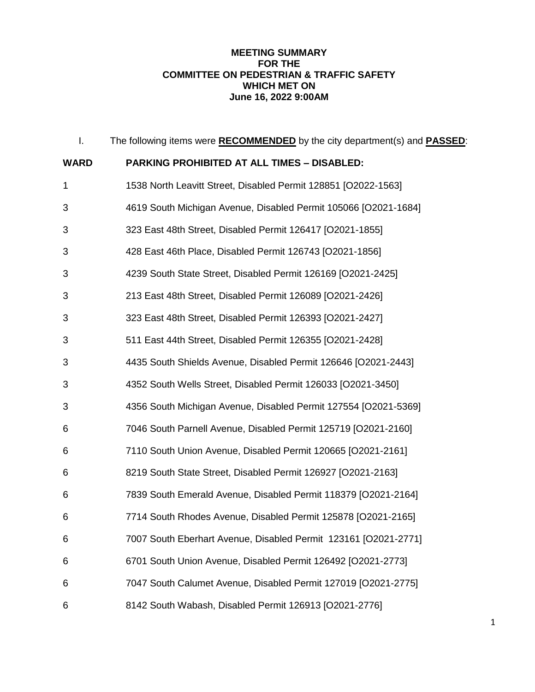## **MEETING SUMMARY FOR THE COMMITTEE ON PEDESTRIAN & TRAFFIC SAFETY WHICH MET ON June 16, 2022 9:00AM**

| I.          | The following items were <b>RECOMMENDED</b> by the city department(s) and <b>PASSED</b> : |
|-------------|-------------------------------------------------------------------------------------------|
| <b>WARD</b> | <b>PARKING PROHIBITED AT ALL TIMES - DISABLED:</b>                                        |
| 1           | 1538 North Leavitt Street, Disabled Permit 128851 [O2022-1563]                            |
| 3           | 4619 South Michigan Avenue, Disabled Permit 105066 [O2021-1684]                           |
| 3           | 323 East 48th Street, Disabled Permit 126417 [O2021-1855]                                 |
| 3           | 428 East 46th Place, Disabled Permit 126743 [O2021-1856]                                  |
| 3           | 4239 South State Street, Disabled Permit 126169 [O2021-2425]                              |
| 3           | 213 East 48th Street, Disabled Permit 126089 [O2021-2426]                                 |
| 3           | 323 East 48th Street, Disabled Permit 126393 [O2021-2427]                                 |
| 3           | 511 East 44th Street, Disabled Permit 126355 [O2021-2428]                                 |
| 3           | 4435 South Shields Avenue, Disabled Permit 126646 [O2021-2443]                            |
| 3           | 4352 South Wells Street, Disabled Permit 126033 [O2021-3450]                              |
| 3           | 4356 South Michigan Avenue, Disabled Permit 127554 [O2021-5369]                           |
| 6           | 7046 South Parnell Avenue, Disabled Permit 125719 [O2021-2160]                            |
| 6           | 7110 South Union Avenue, Disabled Permit 120665 [O2021-2161]                              |
| 6           | 8219 South State Street, Disabled Permit 126927 [O2021-2163]                              |
| 6           | 7839 South Emerald Avenue, Disabled Permit 118379 [O2021-2164]                            |
| 6           | 7714 South Rhodes Avenue, Disabled Permit 125878 [O2021-2165]                             |
| 6           | 7007 South Eberhart Avenue, Disabled Permit 123161 [O2021-2771]                           |
| 6           | 6701 South Union Avenue, Disabled Permit 126492 [O2021-2773]                              |
| 6           | 7047 South Calumet Avenue, Disabled Permit 127019 [O2021-2775]                            |
| 6           | 8142 South Wabash, Disabled Permit 126913 [O2021-2776]                                    |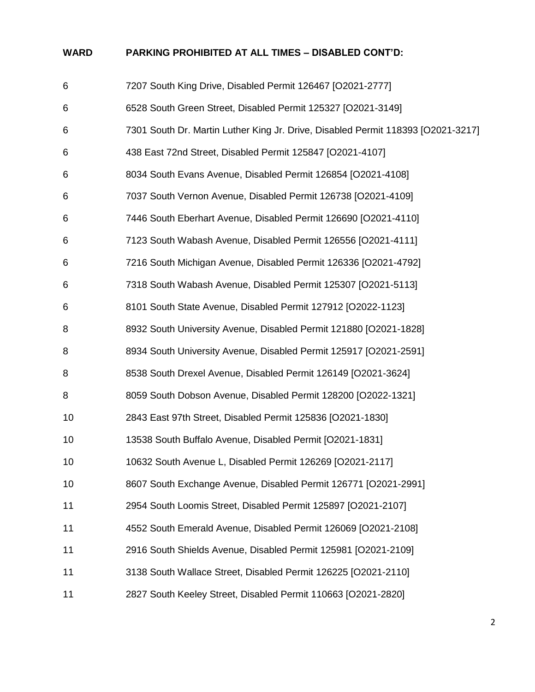# **WARD PARKING PROHIBITED AT ALL TIMES – DISABLED CONT'D:**

| 6  | 7207 South King Drive, Disabled Permit 126467 [O2021-2777]                       |
|----|----------------------------------------------------------------------------------|
| 6  | 6528 South Green Street, Disabled Permit 125327 [O2021-3149]                     |
| 6  | 7301 South Dr. Martin Luther King Jr. Drive, Disabled Permit 118393 [O2021-3217] |
| 6  | 438 East 72nd Street, Disabled Permit 125847 [O2021-4107]                        |
| 6  | 8034 South Evans Avenue, Disabled Permit 126854 [O2021-4108]                     |
| 6  | 7037 South Vernon Avenue, Disabled Permit 126738 [O2021-4109]                    |
| 6  | 7446 South Eberhart Avenue, Disabled Permit 126690 [O2021-4110]                  |
| 6  | 7123 South Wabash Avenue, Disabled Permit 126556 [O2021-4111]                    |
| 6  | 7216 South Michigan Avenue, Disabled Permit 126336 [O2021-4792]                  |
| 6  | 7318 South Wabash Avenue, Disabled Permit 125307 [O2021-5113]                    |
| 6  | 8101 South State Avenue, Disabled Permit 127912 [O2022-1123]                     |
| 8  | 8932 South University Avenue, Disabled Permit 121880 [O2021-1828]                |
| 8  | 8934 South University Avenue, Disabled Permit 125917 [O2021-2591]                |
| 8  | 8538 South Drexel Avenue, Disabled Permit 126149 [O2021-3624]                    |
| 8  | 8059 South Dobson Avenue, Disabled Permit 128200 [O2022-1321]                    |
| 10 | 2843 East 97th Street, Disabled Permit 125836 [O2021-1830]                       |
| 10 | 13538 South Buffalo Avenue, Disabled Permit [O2021-1831]                         |
| 10 | 10632 South Avenue L, Disabled Permit 126269 [O2021-2117]                        |
| 10 | 8607 South Exchange Avenue, Disabled Permit 126771 [O2021-2991]                  |
| 11 | 2954 South Loomis Street, Disabled Permit 125897 [O2021-2107]                    |
| 11 | 4552 South Emerald Avenue, Disabled Permit 126069 [O2021-2108]                   |
| 11 | 2916 South Shields Avenue, Disabled Permit 125981 [O2021-2109]                   |
| 11 | 3138 South Wallace Street, Disabled Permit 126225 [O2021-2110]                   |
| 11 | 2827 South Keeley Street, Disabled Permit 110663 [O2021-2820]                    |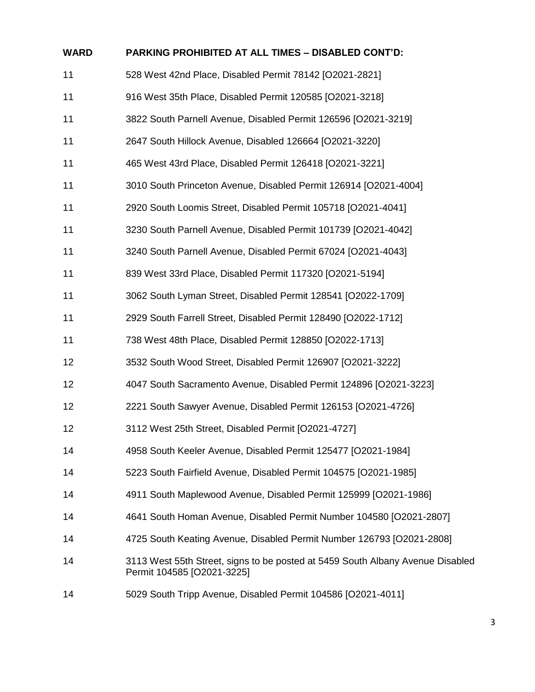| <b>WARD</b> | <b>PARKING PROHIBITED AT ALL TIMES - DISABLED CONT'D:</b>                                                    |
|-------------|--------------------------------------------------------------------------------------------------------------|
| 11          | 528 West 42nd Place, Disabled Permit 78142 [O2021-2821]                                                      |
| 11          | 916 West 35th Place, Disabled Permit 120585 [O2021-3218]                                                     |
| 11          | 3822 South Parnell Avenue, Disabled Permit 126596 [O2021-3219]                                               |
| 11          | 2647 South Hillock Avenue, Disabled 126664 [O2021-3220]                                                      |
| 11          | 465 West 43rd Place, Disabled Permit 126418 [O2021-3221]                                                     |
| 11          | 3010 South Princeton Avenue, Disabled Permit 126914 [O2021-4004]                                             |
| 11          | 2920 South Loomis Street, Disabled Permit 105718 [O2021-4041]                                                |
| 11          | 3230 South Parnell Avenue, Disabled Permit 101739 [O2021-4042]                                               |
| 11          | 3240 South Parnell Avenue, Disabled Permit 67024 [O2021-4043]                                                |
| 11          | 839 West 33rd Place, Disabled Permit 117320 [O2021-5194]                                                     |
| 11          | 3062 South Lyman Street, Disabled Permit 128541 [O2022-1709]                                                 |
| 11          | 2929 South Farrell Street, Disabled Permit 128490 [O2022-1712]                                               |
| 11          | 738 West 48th Place, Disabled Permit 128850 [O2022-1713]                                                     |
| 12          | 3532 South Wood Street, Disabled Permit 126907 [O2021-3222]                                                  |
| 12          | 4047 South Sacramento Avenue, Disabled Permit 124896 [O2021-3223]                                            |
| 12          | 2221 South Sawyer Avenue, Disabled Permit 126153 [O2021-4726]                                                |
| 12          | 3112 West 25th Street, Disabled Permit [O2021-4727]                                                          |
| 14          | 4958 South Keeler Avenue, Disabled Permit 125477 [O2021-1984]                                                |
| 14          | 5223 South Fairfield Avenue, Disabled Permit 104575 [O2021-1985]                                             |
| 14          | 4911 South Maplewood Avenue, Disabled Permit 125999 [O2021-1986]                                             |
| 14          | 4641 South Homan Avenue, Disabled Permit Number 104580 [O2021-2807]                                          |
| 14          | 4725 South Keating Avenue, Disabled Permit Number 126793 [O2021-2808]                                        |
| 14          | 3113 West 55th Street, signs to be posted at 5459 South Albany Avenue Disabled<br>Permit 104585 [O2021-3225] |
| 14          | 5029 South Tripp Avenue, Disabled Permit 104586 [O2021-4011]                                                 |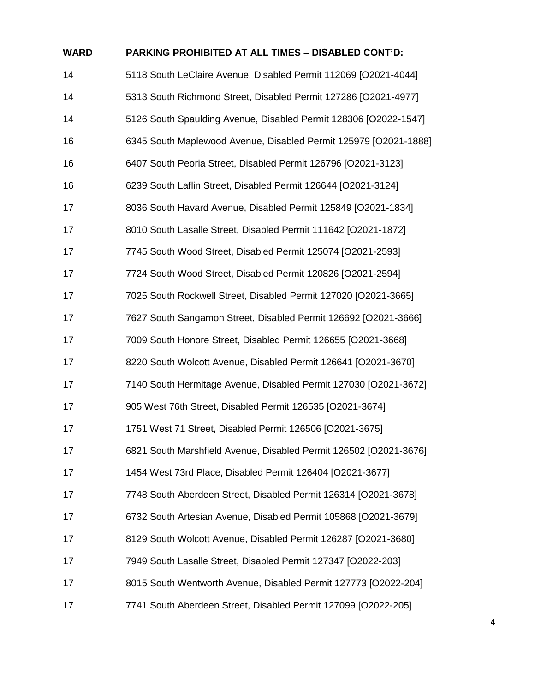| <b>WARD</b> | PARKING PROHIBITED AT ALL TIMES – DISABLED CONT'D:                |
|-------------|-------------------------------------------------------------------|
| 14          | 5118 South LeClaire Avenue, Disabled Permit 112069 [O2021-4044]   |
| 14          | 5313 South Richmond Street, Disabled Permit 127286 [O2021-4977]   |
| 14          | 5126 South Spaulding Avenue, Disabled Permit 128306 [O2022-1547]  |
| 16          | 6345 South Maplewood Avenue, Disabled Permit 125979 [O2021-1888]  |
| 16          | 6407 South Peoria Street, Disabled Permit 126796 [O2021-3123]     |
| 16          | 6239 South Laflin Street, Disabled Permit 126644 [O2021-3124]     |
| 17          | 8036 South Havard Avenue, Disabled Permit 125849 [O2021-1834]     |
| 17          | 8010 South Lasalle Street, Disabled Permit 111642 [O2021-1872]    |
| 17          | 7745 South Wood Street, Disabled Permit 125074 [O2021-2593]       |
| 17          | 7724 South Wood Street, Disabled Permit 120826 [O2021-2594]       |
| 17          | 7025 South Rockwell Street, Disabled Permit 127020 [O2021-3665]   |
| 17          | 7627 South Sangamon Street, Disabled Permit 126692 [O2021-3666]   |
| 17          | 7009 South Honore Street, Disabled Permit 126655 [O2021-3668]     |
| 17          | 8220 South Wolcott Avenue, Disabled Permit 126641 [O2021-3670]    |
| 17          | 7140 South Hermitage Avenue, Disabled Permit 127030 [O2021-3672]  |
| 17          | 905 West 76th Street, Disabled Permit 126535 [O2021-3674]         |
| 17          | 1751 West 71 Street, Disabled Permit 126506 [O2021-3675]          |
| 17          | 6821 South Marshfield Avenue, Disabled Permit 126502 [O2021-3676] |
| 17          | 1454 West 73rd Place, Disabled Permit 126404 [O2021-3677]         |
| 17          | 7748 South Aberdeen Street, Disabled Permit 126314 [O2021-3678]   |
| 17          | 6732 South Artesian Avenue, Disabled Permit 105868 [O2021-3679]   |
| 17          | 8129 South Wolcott Avenue, Disabled Permit 126287 [O2021-3680]    |
| 17          | 7949 South Lasalle Street, Disabled Permit 127347 [O2022-203]     |
| 17          | 8015 South Wentworth Avenue, Disabled Permit 127773 [O2022-204]   |
| 17          | 7741 South Aberdeen Street, Disabled Permit 127099 [O2022-205]    |

# **WARD PARKING PROHIBITED AT ALL TIMES – DISABLED CONT'D:**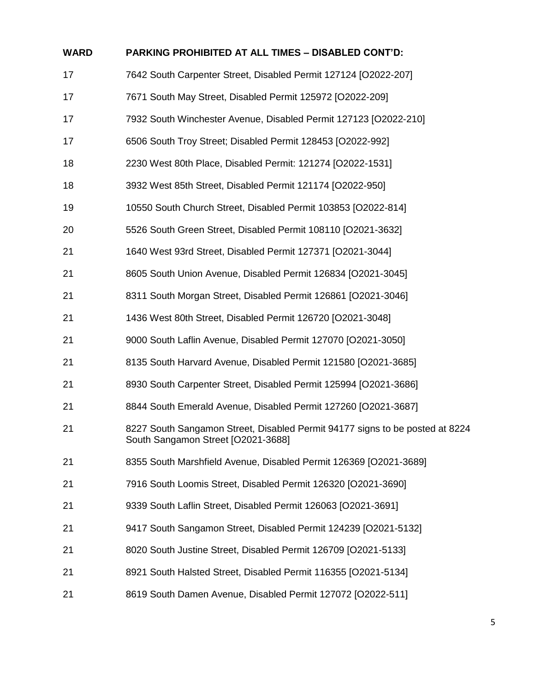| <b>WARD</b> | PARKING PROHIBITED AT ALL TIMES - DISABLED CONT'D:                                                                 |
|-------------|--------------------------------------------------------------------------------------------------------------------|
| 17          | 7642 South Carpenter Street, Disabled Permit 127124 [O2022-207]                                                    |
| 17          | 7671 South May Street, Disabled Permit 125972 [O2022-209]                                                          |
| 17          | 7932 South Winchester Avenue, Disabled Permit 127123 [O2022-210]                                                   |
| 17          | 6506 South Troy Street; Disabled Permit 128453 [O2022-992]                                                         |
| 18          | 2230 West 80th Place, Disabled Permit: 121274 [O2022-1531]                                                         |
| 18          | 3932 West 85th Street, Disabled Permit 121174 [O2022-950]                                                          |
| 19          | 10550 South Church Street, Disabled Permit 103853 [O2022-814]                                                      |
| 20          | 5526 South Green Street, Disabled Permit 108110 [O2021-3632]                                                       |
| 21          | 1640 West 93rd Street, Disabled Permit 127371 [O2021-3044]                                                         |
| 21          | 8605 South Union Avenue, Disabled Permit 126834 [O2021-3045]                                                       |
| 21          | 8311 South Morgan Street, Disabled Permit 126861 [O2021-3046]                                                      |
| 21          | 1436 West 80th Street, Disabled Permit 126720 [O2021-3048]                                                         |
| 21          | 9000 South Laflin Avenue, Disabled Permit 127070 [O2021-3050]                                                      |
| 21          | 8135 South Harvard Avenue, Disabled Permit 121580 [O2021-3685]                                                     |
| 21          | 8930 South Carpenter Street, Disabled Permit 125994 [O2021-3686]                                                   |
| 21          | 8844 South Emerald Avenue, Disabled Permit 127260 [O2021-3687]                                                     |
| 21          | 8227 South Sangamon Street, Disabled Permit 94177 signs to be posted at 8224<br>South Sangamon Street [O2021-3688] |
| 21          | 8355 South Marshfield Avenue, Disabled Permit 126369 [O2021-3689]                                                  |
| 21          | 7916 South Loomis Street, Disabled Permit 126320 [O2021-3690]                                                      |
| 21          | 9339 South Laflin Street, Disabled Permit 126063 [O2021-3691]                                                      |
| 21          | 9417 South Sangamon Street, Disabled Permit 124239 [O2021-5132]                                                    |
| 21          | 8020 South Justine Street, Disabled Permit 126709 [O2021-5133]                                                     |
| 21          | 8921 South Halsted Street, Disabled Permit 116355 [O2021-5134]                                                     |
| 21          | 8619 South Damen Avenue, Disabled Permit 127072 [O2022-511]                                                        |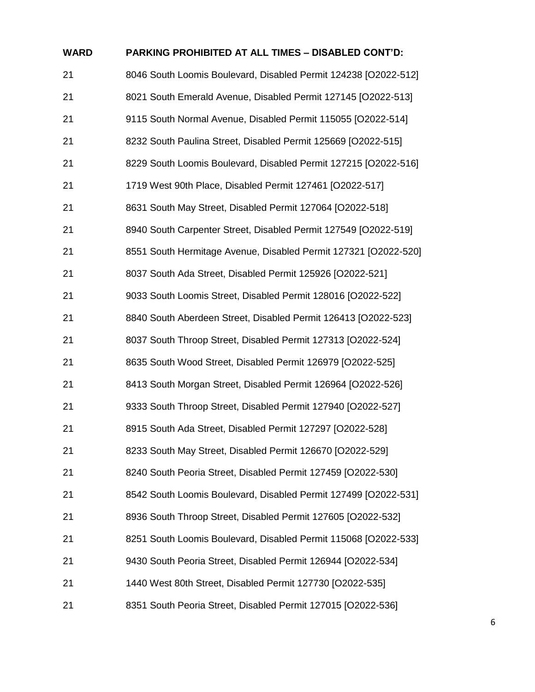| <b>WARD</b> | PARKING PROHIBITED AT ALL TIMES - DISABLED CONT'D:              |
|-------------|-----------------------------------------------------------------|
| 21          | 8046 South Loomis Boulevard, Disabled Permit 124238 [O2022-512] |
| 21          | 8021 South Emerald Avenue, Disabled Permit 127145 [O2022-513]   |
| 21          | 9115 South Normal Avenue, Disabled Permit 115055 [O2022-514]    |
| 21          | 8232 South Paulina Street, Disabled Permit 125669 [O2022-515]   |
| 21          | 8229 South Loomis Boulevard, Disabled Permit 127215 [O2022-516] |
| 21          | 1719 West 90th Place, Disabled Permit 127461 [O2022-517]        |
| 21          | 8631 South May Street, Disabled Permit 127064 [O2022-518]       |
| 21          | 8940 South Carpenter Street, Disabled Permit 127549 [O2022-519] |
| 21          | 8551 South Hermitage Avenue, Disabled Permit 127321 [O2022-520] |
| 21          | 8037 South Ada Street, Disabled Permit 125926 [O2022-521]       |
| 21          | 9033 South Loomis Street, Disabled Permit 128016 [O2022-522]    |
| 21          | 8840 South Aberdeen Street, Disabled Permit 126413 [O2022-523]  |
| 21          | 8037 South Throop Street, Disabled Permit 127313 [O2022-524]    |
| 21          | 8635 South Wood Street, Disabled Permit 126979 [O2022-525]      |
| 21          | 8413 South Morgan Street, Disabled Permit 126964 [O2022-526]    |
| 21          | 9333 South Throop Street, Disabled Permit 127940 [O2022-527]    |
| 21          | 8915 South Ada Street, Disabled Permit 127297 [O2022-528]       |
| 21          | 8233 South May Street, Disabled Permit 126670 [O2022-529]       |
| 21          | 8240 South Peoria Street, Disabled Permit 127459 [O2022-530]    |
| 21          | 8542 South Loomis Boulevard, Disabled Permit 127499 [O2022-531] |
| 21          | 8936 South Throop Street, Disabled Permit 127605 [O2022-532]    |
| 21          | 8251 South Loomis Boulevard, Disabled Permit 115068 [O2022-533] |
| 21          | 9430 South Peoria Street, Disabled Permit 126944 [O2022-534]    |
| 21          | 1440 West 80th Street, Disabled Permit 127730 [O2022-535]       |
| 21          | 8351 South Peoria Street, Disabled Permit 127015 [O2022-536]    |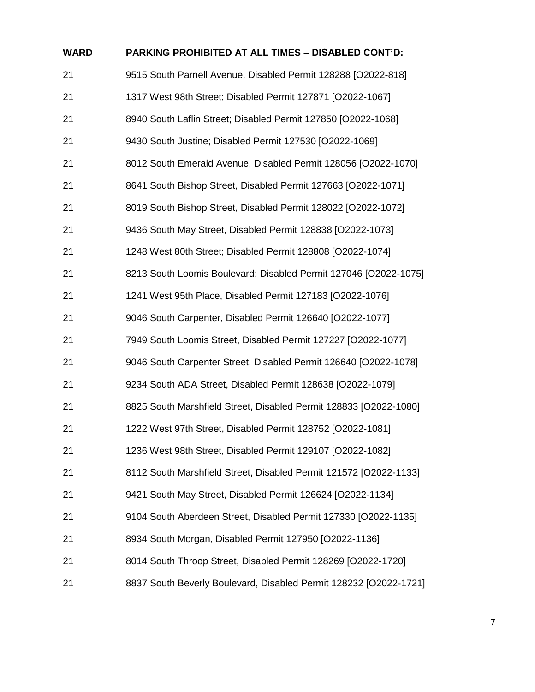| <b>WARD</b> | <b>PARKING PROHIBITED AT ALL TIMES - DISABLED CONT'D:</b>         |
|-------------|-------------------------------------------------------------------|
| 21          | 9515 South Parnell Avenue, Disabled Permit 128288 [O2022-818]     |
| 21          | 1317 West 98th Street; Disabled Permit 127871 [O2022-1067]        |
| 21          | 8940 South Laflin Street; Disabled Permit 127850 [O2022-1068]     |
| 21          | 9430 South Justine; Disabled Permit 127530 [O2022-1069]           |
| 21          | 8012 South Emerald Avenue, Disabled Permit 128056 [O2022-1070]    |
| 21          | 8641 South Bishop Street, Disabled Permit 127663 [O2022-1071]     |
| 21          | 8019 South Bishop Street, Disabled Permit 128022 [O2022-1072]     |
| 21          | 9436 South May Street, Disabled Permit 128838 [O2022-1073]        |
| 21          | 1248 West 80th Street; Disabled Permit 128808 [O2022-1074]        |
| 21          | 8213 South Loomis Boulevard; Disabled Permit 127046 [O2022-1075]  |
| 21          | 1241 West 95th Place, Disabled Permit 127183 [O2022-1076]         |
| 21          | 9046 South Carpenter, Disabled Permit 126640 [O2022-1077]         |
| 21          | 7949 South Loomis Street, Disabled Permit 127227 [O2022-1077]     |
| 21          | 9046 South Carpenter Street, Disabled Permit 126640 [O2022-1078]  |
| 21          | 9234 South ADA Street, Disabled Permit 128638 [O2022-1079]        |
| 21          | 8825 South Marshfield Street, Disabled Permit 128833 [O2022-1080] |
| 21          | 1222 West 97th Street, Disabled Permit 128752 [O2022-1081]        |
| 21          | 1236 West 98th Street, Disabled Permit 129107 [O2022-1082]        |
| 21          | 8112 South Marshfield Street, Disabled Permit 121572 [O2022-1133] |
| 21          | 9421 South May Street, Disabled Permit 126624 [O2022-1134]        |
| 21          | 9104 South Aberdeen Street, Disabled Permit 127330 [O2022-1135]   |
| 21          | 8934 South Morgan, Disabled Permit 127950 [O2022-1136]            |
| 21          | 8014 South Throop Street, Disabled Permit 128269 [O2022-1720]     |
| 21          | 8837 South Beverly Boulevard, Disabled Permit 128232 [O2022-1721] |
|             |                                                                   |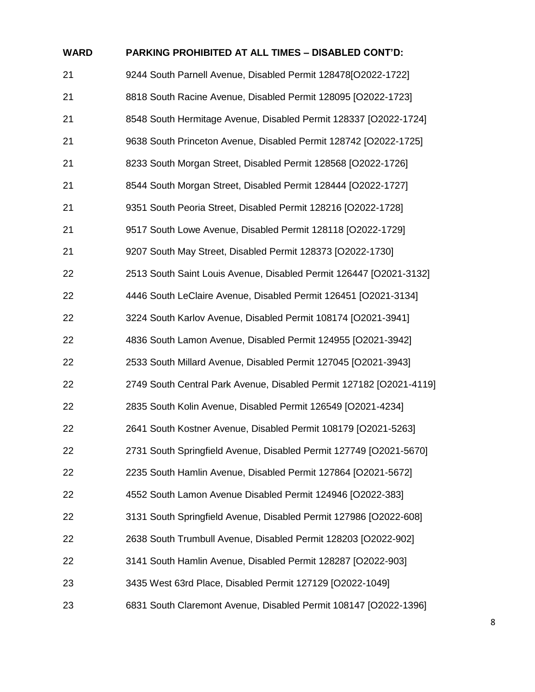| <b>WARD</b> | PARKING PROHIBITED AT ALL TIMES - DISABLED CONT'D:                  |
|-------------|---------------------------------------------------------------------|
| 21          | 9244 South Parnell Avenue, Disabled Permit 128478[O2022-1722]       |
| 21          | 8818 South Racine Avenue, Disabled Permit 128095 [O2022-1723]       |
| 21          | 8548 South Hermitage Avenue, Disabled Permit 128337 [O2022-1724]    |
| 21          | 9638 South Princeton Avenue, Disabled Permit 128742 [O2022-1725]    |
| 21          | 8233 South Morgan Street, Disabled Permit 128568 [O2022-1726]       |
| 21          | 8544 South Morgan Street, Disabled Permit 128444 [O2022-1727]       |
| 21          | 9351 South Peoria Street, Disabled Permit 128216 [O2022-1728]       |
| 21          | 9517 South Lowe Avenue, Disabled Permit 128118 [O2022-1729]         |
| 21          | 9207 South May Street, Disabled Permit 128373 [O2022-1730]          |
| 22          | 2513 South Saint Louis Avenue, Disabled Permit 126447 [O2021-3132]  |
| 22          | 4446 South LeClaire Avenue, Disabled Permit 126451 [O2021-3134]     |
| 22          | 3224 South Karlov Avenue, Disabled Permit 108174 [O2021-3941]       |
| 22          | 4836 South Lamon Avenue, Disabled Permit 124955 [O2021-3942]        |
| 22          | 2533 South Millard Avenue, Disabled Permit 127045 [O2021-3943]      |
| 22          | 2749 South Central Park Avenue, Disabled Permit 127182 [O2021-4119] |
| 22          | 2835 South Kolin Avenue, Disabled Permit 126549 [O2021-4234]        |
| 22          | 2641 South Kostner Avenue, Disabled Permit 108179 [O2021-5263]      |
| 22          | 2731 South Springfield Avenue, Disabled Permit 127749 [O2021-5670]  |
| 22          | 2235 South Hamlin Avenue, Disabled Permit 127864 [O2021-5672]       |
| 22          | 4552 South Lamon Avenue Disabled Permit 124946 [O2022-383]          |
| 22          | 3131 South Springfield Avenue, Disabled Permit 127986 [O2022-608]   |
| 22          | 2638 South Trumbull Avenue, Disabled Permit 128203 [O2022-902]      |
| 22          | 3141 South Hamlin Avenue, Disabled Permit 128287 [O2022-903]        |
| 23          | 3435 West 63rd Place, Disabled Permit 127129 [O2022-1049]           |
| 23          | 6831 South Claremont Avenue, Disabled Permit 108147 [O2022-1396]    |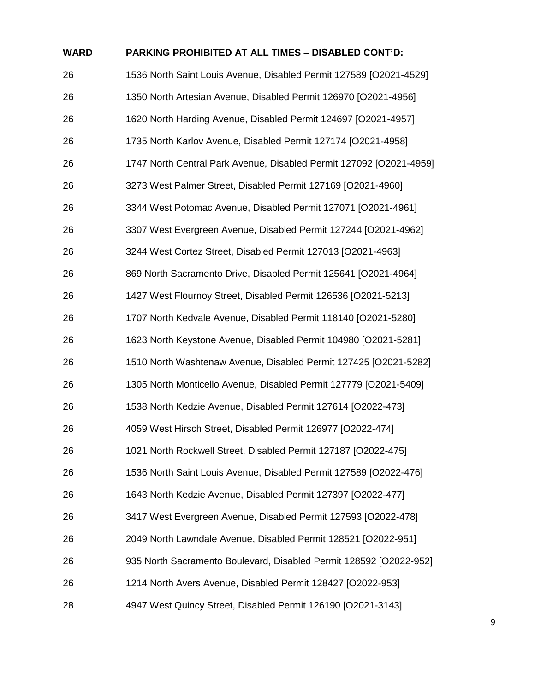| <b>WARD</b> | <b>PARKING PROHIBITED AT ALL TIMES - DISABLED CONT'D:</b>           |
|-------------|---------------------------------------------------------------------|
| 26          | 1536 North Saint Louis Avenue, Disabled Permit 127589 [O2021-4529]  |
| 26          | 1350 North Artesian Avenue, Disabled Permit 126970 [O2021-4956]     |
| 26          | 1620 North Harding Avenue, Disabled Permit 124697 [O2021-4957]      |
| 26          | 1735 North Karlov Avenue, Disabled Permit 127174 [O2021-4958]       |
| 26          | 1747 North Central Park Avenue, Disabled Permit 127092 [O2021-4959] |
| 26          | 3273 West Palmer Street, Disabled Permit 127169 [O2021-4960]        |
| 26          | 3344 West Potomac Avenue, Disabled Permit 127071 [O2021-4961]       |
| 26          | 3307 West Evergreen Avenue, Disabled Permit 127244 [O2021-4962]     |
| 26          | 3244 West Cortez Street, Disabled Permit 127013 [O2021-4963]        |
| 26          | 869 North Sacramento Drive, Disabled Permit 125641 [O2021-4964]     |
| 26          | 1427 West Flournoy Street, Disabled Permit 126536 [O2021-5213]      |
| 26          | 1707 North Kedvale Avenue, Disabled Permit 118140 [O2021-5280]      |
| 26          | 1623 North Keystone Avenue, Disabled Permit 104980 [O2021-5281]     |
| 26          | 1510 North Washtenaw Avenue, Disabled Permit 127425 [O2021-5282]    |
| 26          | 1305 North Monticello Avenue, Disabled Permit 127779 [O2021-5409]   |
| 26          | 1538 North Kedzie Avenue, Disabled Permit 127614 [O2022-473]        |
| 26          | 4059 West Hirsch Street, Disabled Permit 126977 [O2022-474]         |
| 26          | 1021 North Rockwell Street, Disabled Permit 127187 [O2022-475]      |
| 26          | 1536 North Saint Louis Avenue, Disabled Permit 127589 [O2022-476]   |
| 26          | 1643 North Kedzie Avenue, Disabled Permit 127397 [O2022-477]        |
| 26          | 3417 West Evergreen Avenue, Disabled Permit 127593 [O2022-478]      |
| 26          | 2049 North Lawndale Avenue, Disabled Permit 128521 [O2022-951]      |
| 26          | 935 North Sacramento Boulevard, Disabled Permit 128592 [O2022-952]  |
| 26          | 1214 North Avers Avenue, Disabled Permit 128427 [O2022-953]         |
| 28          | 4947 West Quincy Street, Disabled Permit 126190 [O2021-3143]        |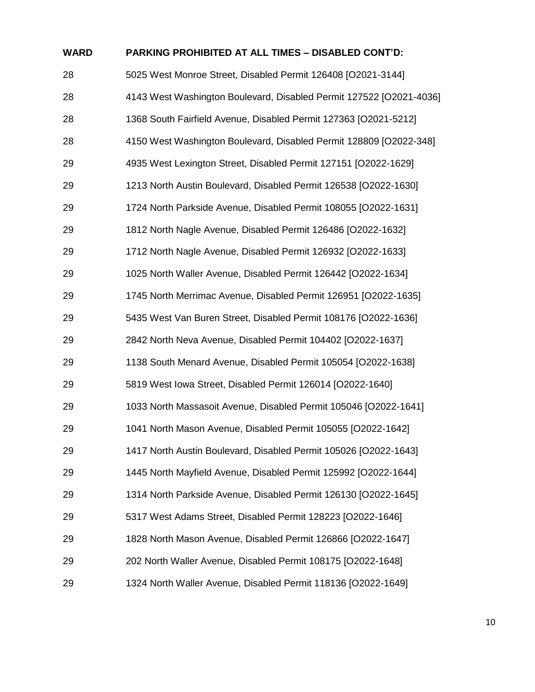| <b>WARD</b> | <b>PARKING PROHIBITED AT ALL TIMES - DISABLED CONT'D:</b>           |
|-------------|---------------------------------------------------------------------|
| 28          | 5025 West Monroe Street, Disabled Permit 126408 [O2021-3144]        |
| 28          | 4143 West Washington Boulevard, Disabled Permit 127522 [O2021-4036] |
| 28          | 1368 South Fairfield Avenue, Disabled Permit 127363 [O2021-5212]    |
| 28          | 4150 West Washington Boulevard, Disabled Permit 128809 [O2022-348]  |
| 29          | 4935 West Lexington Street, Disabled Permit 127151 [O2022-1629]     |
| 29          | 1213 North Austin Boulevard, Disabled Permit 126538 [O2022-1630]    |
| 29          | 1724 North Parkside Avenue, Disabled Permit 108055 [O2022-1631]     |
| 29          | 1812 North Nagle Avenue, Disabled Permit 126486 [O2022-1632]        |
| 29          | 1712 North Nagle Avenue, Disabled Permit 126932 [O2022-1633]        |
| 29          | 1025 North Waller Avenue, Disabled Permit 126442 [O2022-1634]       |
| 29          | 1745 North Merrimac Avenue, Disabled Permit 126951 [O2022-1635]     |
| 29          | 5435 West Van Buren Street, Disabled Permit 108176 [O2022-1636]     |
| 29          | 2842 North Neva Avenue, Disabled Permit 104402 [O2022-1637]         |
| 29          | 1138 South Menard Avenue, Disabled Permit 105054 [O2022-1638]       |
| 29          | 5819 West Iowa Street, Disabled Permit 126014 [O2022-1640]          |
| 29          | 1033 North Massasoit Avenue, Disabled Permit 105046 [O2022-1641]    |
| 29          | 1041 North Mason Avenue, Disabled Permit 105055 [O2022-1642]        |
| 29          | 1417 North Austin Boulevard, Disabled Permit 105026 [O2022-1643]    |
| 29          | 1445 North Mayfield Avenue, Disabled Permit 125992 [O2022-1644]     |
| 29          | 1314 North Parkside Avenue, Disabled Permit 126130 [O2022-1645]     |
| 29          | 5317 West Adams Street, Disabled Permit 128223 [O2022-1646]         |
| 29          | 1828 North Mason Avenue, Disabled Permit 126866 [O2022-1647]        |
| 29          | 202 North Waller Avenue, Disabled Permit 108175 [O2022-1648]        |
| 29          | 1324 North Waller Avenue, Disabled Permit 118136 [O2022-1649]       |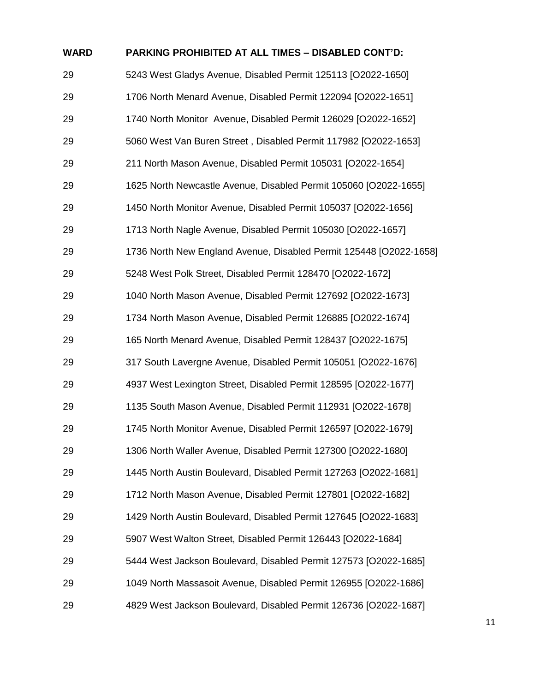| <b>WARD</b> | <b>PARKING PROHIBITED AT ALL TIMES - DISABLED CONT'D:</b>          |
|-------------|--------------------------------------------------------------------|
| 29          | 5243 West Gladys Avenue, Disabled Permit 125113 [O2022-1650]       |
| 29          | 1706 North Menard Avenue, Disabled Permit 122094 [O2022-1651]      |
| 29          | 1740 North Monitor Avenue, Disabled Permit 126029 [O2022-1652]     |
| 29          | 5060 West Van Buren Street, Disabled Permit 117982 [O2022-1653]    |
| 29          | 211 North Mason Avenue, Disabled Permit 105031 [O2022-1654]        |
| 29          | 1625 North Newcastle Avenue, Disabled Permit 105060 [O2022-1655]   |
| 29          | 1450 North Monitor Avenue, Disabled Permit 105037 [O2022-1656]     |
| 29          | 1713 North Nagle Avenue, Disabled Permit 105030 [O2022-1657]       |
| 29          | 1736 North New England Avenue, Disabled Permit 125448 [O2022-1658] |
| 29          | 5248 West Polk Street, Disabled Permit 128470 [O2022-1672]         |
| 29          | 1040 North Mason Avenue, Disabled Permit 127692 [O2022-1673]       |
| 29          | 1734 North Mason Avenue, Disabled Permit 126885 [O2022-1674]       |
| 29          | 165 North Menard Avenue, Disabled Permit 128437 [O2022-1675]       |
| 29          | 317 South Lavergne Avenue, Disabled Permit 105051 [O2022-1676]     |
| 29          | 4937 West Lexington Street, Disabled Permit 128595 [O2022-1677]    |
| 29          | 1135 South Mason Avenue, Disabled Permit 112931 [O2022-1678]       |
| 29          | 1745 North Monitor Avenue, Disabled Permit 126597 [O2022-1679]     |
| 29          | 1306 North Waller Avenue, Disabled Permit 127300 [O2022-1680]      |
| 29          | 1445 North Austin Boulevard, Disabled Permit 127263 [O2022-1681]   |
| 29          | 1712 North Mason Avenue, Disabled Permit 127801 [O2022-1682]       |
| 29          | 1429 North Austin Boulevard, Disabled Permit 127645 [O2022-1683]   |
| 29          | 5907 West Walton Street, Disabled Permit 126443 [O2022-1684]       |
| 29          | 5444 West Jackson Boulevard, Disabled Permit 127573 [O2022-1685]   |
| 29          | 1049 North Massasoit Avenue, Disabled Permit 126955 [O2022-1686]   |
| 29          | 4829 West Jackson Boulevard, Disabled Permit 126736 [O2022-1687]   |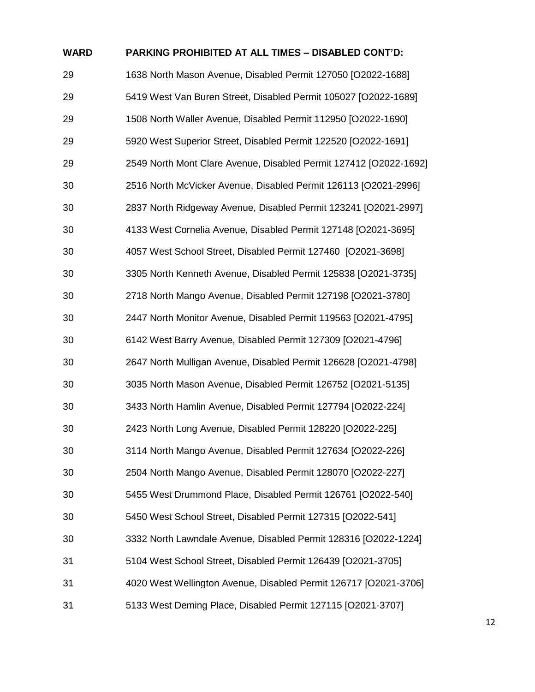| <b>WARD</b> | <b>PARKING PROHIBITED AT ALL TIMES - DISABLED CONT'D:</b>         |
|-------------|-------------------------------------------------------------------|
| 29          | 1638 North Mason Avenue, Disabled Permit 127050 [O2022-1688]      |
| 29          | 5419 West Van Buren Street, Disabled Permit 105027 [O2022-1689]   |
| 29          | 1508 North Waller Avenue, Disabled Permit 112950 [O2022-1690]     |
| 29          | 5920 West Superior Street, Disabled Permit 122520 [O2022-1691]    |
| 29          | 2549 North Mont Clare Avenue, Disabled Permit 127412 [O2022-1692] |
| 30          | 2516 North McVicker Avenue, Disabled Permit 126113 [O2021-2996]   |
| 30          | 2837 North Ridgeway Avenue, Disabled Permit 123241 [O2021-2997]   |
| 30          | 4133 West Cornelia Avenue, Disabled Permit 127148 [O2021-3695]    |
| 30          | 4057 West School Street, Disabled Permit 127460 [O2021-3698]      |
| 30          | 3305 North Kenneth Avenue, Disabled Permit 125838 [O2021-3735]    |
| 30          | 2718 North Mango Avenue, Disabled Permit 127198 [O2021-3780]      |
| 30          | 2447 North Monitor Avenue, Disabled Permit 119563 [O2021-4795]    |
| 30          | 6142 West Barry Avenue, Disabled Permit 127309 [O2021-4796]       |
| 30          | 2647 North Mulligan Avenue, Disabled Permit 126628 [O2021-4798]   |
| 30          | 3035 North Mason Avenue, Disabled Permit 126752 [O2021-5135]      |
| 30          | 3433 North Hamlin Avenue, Disabled Permit 127794 [O2022-224]      |
| 30          | 2423 North Long Avenue, Disabled Permit 128220 [O2022-225]        |
| 30          | 3114 North Mango Avenue, Disabled Permit 127634 [O2022-226]       |
| 30          | 2504 North Mango Avenue, Disabled Permit 128070 [O2022-227]       |
| 30          | 5455 West Drummond Place, Disabled Permit 126761 [O2022-540]      |
| 30          | 5450 West School Street, Disabled Permit 127315 [O2022-541]       |
| 30          | 3332 North Lawndale Avenue, Disabled Permit 128316 [O2022-1224]   |
| 31          | 5104 West School Street, Disabled Permit 126439 [O2021-3705]      |
| 31          | 4020 West Wellington Avenue, Disabled Permit 126717 [O2021-3706]  |
| 31          | 5133 West Deming Place, Disabled Permit 127115 [O2021-3707]       |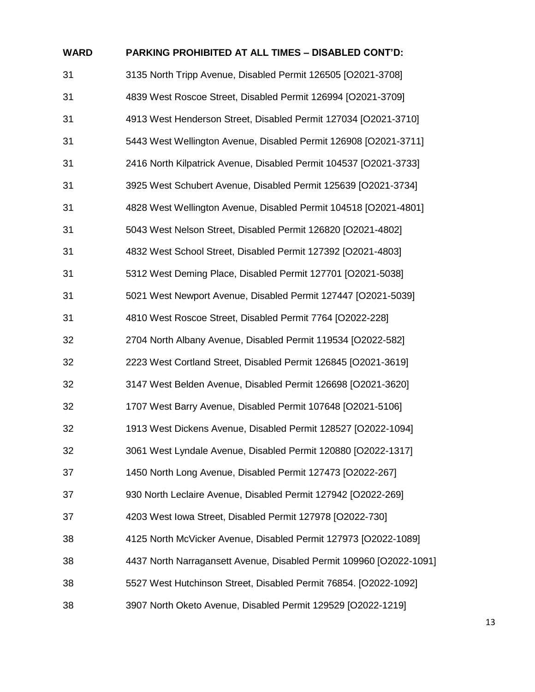| <b>WARD</b> | PARKING PROHIBITED AT ALL TIMES - DISABLED CONT'D:                  |
|-------------|---------------------------------------------------------------------|
| 31          | 3135 North Tripp Avenue, Disabled Permit 126505 [O2021-3708]        |
| 31          | 4839 West Roscoe Street, Disabled Permit 126994 [O2021-3709]        |
| 31          | 4913 West Henderson Street, Disabled Permit 127034 [O2021-3710]     |
| 31          | 5443 West Wellington Avenue, Disabled Permit 126908 [O2021-3711]    |
| 31          | 2416 North Kilpatrick Avenue, Disabled Permit 104537 [O2021-3733]   |
| 31          | 3925 West Schubert Avenue, Disabled Permit 125639 [O2021-3734]      |
| 31          | 4828 West Wellington Avenue, Disabled Permit 104518 [O2021-4801]    |
| 31          | 5043 West Nelson Street, Disabled Permit 126820 [O2021-4802]        |
| 31          | 4832 West School Street, Disabled Permit 127392 [O2021-4803]        |
| 31          | 5312 West Deming Place, Disabled Permit 127701 [O2021-5038]         |
| 31          | 5021 West Newport Avenue, Disabled Permit 127447 [O2021-5039]       |
| 31          | 4810 West Roscoe Street, Disabled Permit 7764 [O2022-228]           |
| 32          | 2704 North Albany Avenue, Disabled Permit 119534 [O2022-582]        |
| 32          | 2223 West Cortland Street, Disabled Permit 126845 [O2021-3619]      |
| 32          | 3147 West Belden Avenue, Disabled Permit 126698 [O2021-3620]        |
| 32          | 1707 West Barry Avenue, Disabled Permit 107648 [O2021-5106]         |
| 32          | 1913 West Dickens Avenue, Disabled Permit 128527 [O2022-1094]       |
| 32          | 3061 West Lyndale Avenue, Disabled Permit 120880 [O2022-1317]       |
| 37          | 1450 North Long Avenue, Disabled Permit 127473 [O2022-267]          |
| 37          | 930 North Leclaire Avenue, Disabled Permit 127942 [O2022-269]       |
| 37          | 4203 West Iowa Street, Disabled Permit 127978 [O2022-730]           |
| 38          | 4125 North McVicker Avenue, Disabled Permit 127973 [O2022-1089]     |
| 38          | 4437 North Narragansett Avenue, Disabled Permit 109960 [O2022-1091] |
| 38          | 5527 West Hutchinson Street, Disabled Permit 76854. [O2022-1092]    |
| 38          | 3907 North Oketo Avenue, Disabled Permit 129529 [O2022-1219]        |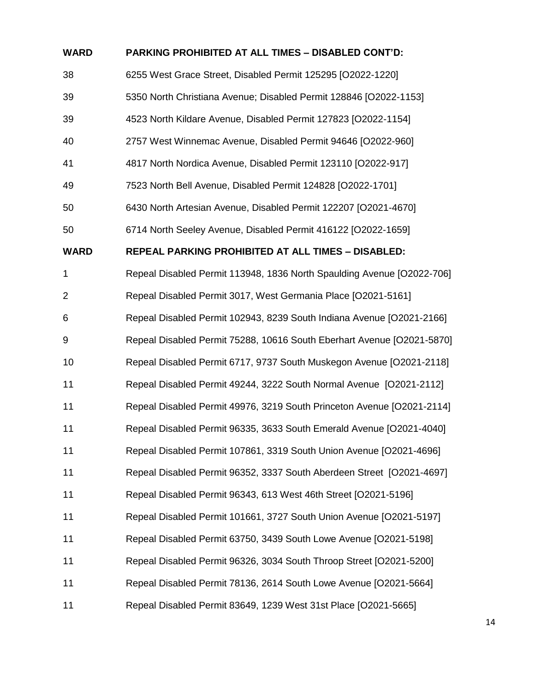| <b>WARD</b>    | PARKING PROHIBITED AT ALL TIMES - DISABLED CONT'D:                     |
|----------------|------------------------------------------------------------------------|
| 38             | 6255 West Grace Street, Disabled Permit 125295 [O2022-1220]            |
| 39             | 5350 North Christiana Avenue; Disabled Permit 128846 [O2022-1153]      |
| 39             | 4523 North Kildare Avenue, Disabled Permit 127823 [O2022-1154]         |
| 40             | 2757 West Winnemac Avenue, Disabled Permit 94646 [O2022-960]           |
| 41             | 4817 North Nordica Avenue, Disabled Permit 123110 [O2022-917]          |
| 49             | 7523 North Bell Avenue, Disabled Permit 124828 [O2022-1701]            |
| 50             | 6430 North Artesian Avenue, Disabled Permit 122207 [O2021-4670]        |
| 50             | 6714 North Seeley Avenue, Disabled Permit 416122 [O2022-1659]          |
| <b>WARD</b>    | REPEAL PARKING PROHIBITED AT ALL TIMES - DISABLED:                     |
| $\mathbf 1$    | Repeal Disabled Permit 113948, 1836 North Spaulding Avenue [O2022-706] |
| $\overline{2}$ | Repeal Disabled Permit 3017, West Germania Place [O2021-5161]          |
| 6              | Repeal Disabled Permit 102943, 8239 South Indiana Avenue [O2021-2166]  |
| 9              | Repeal Disabled Permit 75288, 10616 South Eberhart Avenue [O2021-5870] |
| 10             | Repeal Disabled Permit 6717, 9737 South Muskegon Avenue [O2021-2118]   |
| 11             | Repeal Disabled Permit 49244, 3222 South Normal Avenue [O2021-2112]    |
| 11             | Repeal Disabled Permit 49976, 3219 South Princeton Avenue [O2021-2114] |
| 11             | Repeal Disabled Permit 96335, 3633 South Emerald Avenue [O2021-4040]   |
| 11             | Repeal Disabled Permit 107861, 3319 South Union Avenue [O2021-4696]    |
| 11             | Repeal Disabled Permit 96352, 3337 South Aberdeen Street [O2021-4697]  |
| 11             | Repeal Disabled Permit 96343, 613 West 46th Street [O2021-5196]        |
| 11             | Repeal Disabled Permit 101661, 3727 South Union Avenue [O2021-5197]    |
| 11             | Repeal Disabled Permit 63750, 3439 South Lowe Avenue [O2021-5198]      |
| 11             | Repeal Disabled Permit 96326, 3034 South Throop Street [O2021-5200]    |
| 11             | Repeal Disabled Permit 78136, 2614 South Lowe Avenue [O2021-5664]      |
| 11             | Repeal Disabled Permit 83649, 1239 West 31st Place [O2021-5665]        |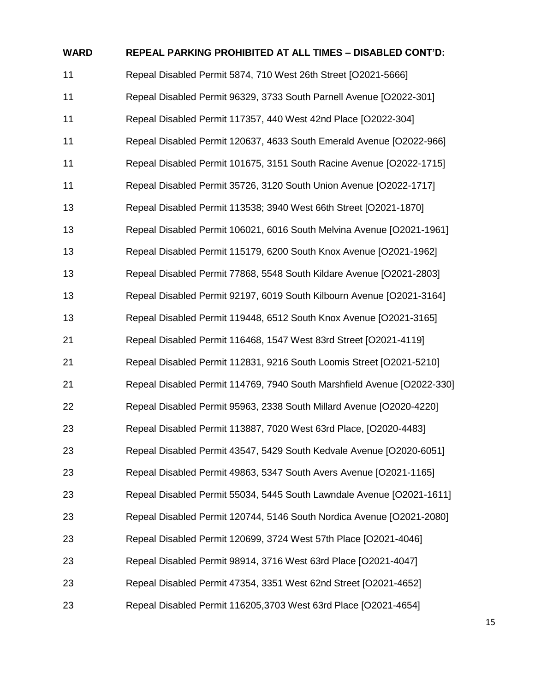| <b>WARD</b> | <b>REPEAL PARKING PROHIBITED AT ALL TIMES - DISABLED CONT'D:</b>        |
|-------------|-------------------------------------------------------------------------|
| 11          | Repeal Disabled Permit 5874, 710 West 26th Street [O2021-5666]          |
| 11          | Repeal Disabled Permit 96329, 3733 South Parnell Avenue [O2022-301]     |
| 11          | Repeal Disabled Permit 117357, 440 West 42nd Place [O2022-304]          |
| 11          | Repeal Disabled Permit 120637, 4633 South Emerald Avenue [O2022-966]    |
| 11          | Repeal Disabled Permit 101675, 3151 South Racine Avenue [O2022-1715]    |
| 11          | Repeal Disabled Permit 35726, 3120 South Union Avenue [O2022-1717]      |
| 13          | Repeal Disabled Permit 113538; 3940 West 66th Street [O2021-1870]       |
| 13          | Repeal Disabled Permit 106021, 6016 South Melvina Avenue [O2021-1961]   |
| 13          | Repeal Disabled Permit 115179, 6200 South Knox Avenue [O2021-1962]      |
| 13          | Repeal Disabled Permit 77868, 5548 South Kildare Avenue [O2021-2803]    |
| 13          | Repeal Disabled Permit 92197, 6019 South Kilbourn Avenue [O2021-3164]   |
| 13          | Repeal Disabled Permit 119448, 6512 South Knox Avenue [O2021-3165]      |
| 21          | Repeal Disabled Permit 116468, 1547 West 83rd Street [O2021-4119]       |
| 21          | Repeal Disabled Permit 112831, 9216 South Loomis Street [O2021-5210]    |
| 21          | Repeal Disabled Permit 114769, 7940 South Marshfield Avenue [O2022-330] |
| 22          | Repeal Disabled Permit 95963, 2338 South Millard Avenue [O2020-4220]    |
| 23          | Repeal Disabled Permit 113887, 7020 West 63rd Place, [O2020-4483]       |
| 23          | Repeal Disabled Permit 43547, 5429 South Kedvale Avenue [O2020-6051]    |
| 23          | Repeal Disabled Permit 49863, 5347 South Avers Avenue [O2021-1165]      |
| 23          | Repeal Disabled Permit 55034, 5445 South Lawndale Avenue [O2021-1611]   |
| 23          | Repeal Disabled Permit 120744, 5146 South Nordica Avenue [O2021-2080]   |
| 23          | Repeal Disabled Permit 120699, 3724 West 57th Place [O2021-4046]        |
| 23          | Repeal Disabled Permit 98914, 3716 West 63rd Place [O2021-4047]         |
| 23          | Repeal Disabled Permit 47354, 3351 West 62nd Street [O2021-4652]        |
| 23          | Repeal Disabled Permit 116205,3703 West 63rd Place [O2021-4654]         |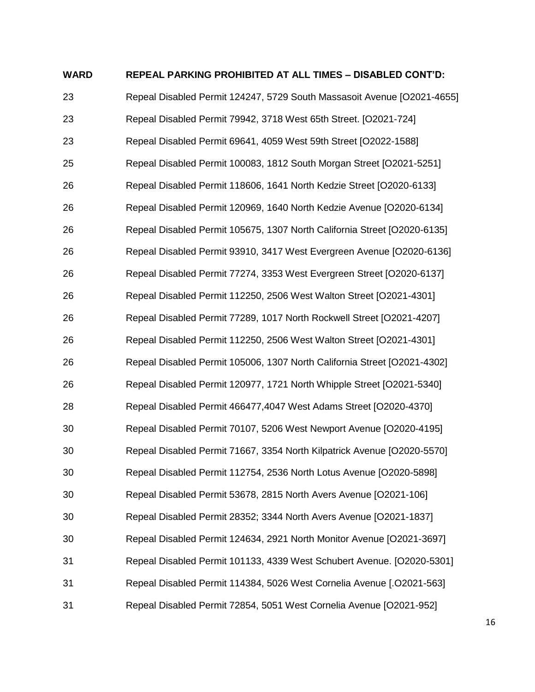#### **WARD REPEAL PARKING PROHIBITED AT ALL TIMES – DISABLED CONT'D:**

 Repeal Disabled Permit 124247, 5729 South Massasoit Avenue [O2021-4655] Repeal Disabled Permit 79942, 3718 West 65th Street. [O2021-724] Repeal Disabled Permit 69641, 4059 West 59th Street [O2022-1588] Repeal Disabled Permit 100083, 1812 South Morgan Street [O2021-5251] Repeal Disabled Permit 118606, 1641 North Kedzie Street [O2020-6133] Repeal Disabled Permit 120969, 1640 North Kedzie Avenue [O2020-6134] Repeal Disabled Permit 105675, 1307 North California Street [O2020-6135] Repeal Disabled Permit 93910, 3417 West Evergreen Avenue [O2020-6136] Repeal Disabled Permit 77274, 3353 West Evergreen Street [O2020-6137] Repeal Disabled Permit 112250, 2506 West Walton Street [O2021-4301] Repeal Disabled Permit 77289, 1017 North Rockwell Street [O2021-4207] Repeal Disabled Permit 112250, 2506 West Walton Street [O2021-4301] Repeal Disabled Permit 105006, 1307 North California Street [O2021-4302] Repeal Disabled Permit 120977, 1721 North Whipple Street [O2021-5340] Repeal Disabled Permit 466477,4047 West Adams Street [O2020-4370] Repeal Disabled Permit 70107, 5206 West Newport Avenue [O2020-4195] Repeal Disabled Permit 71667, 3354 North Kilpatrick Avenue [O2020-5570] Repeal Disabled Permit 112754, 2536 North Lotus Avenue [O2020-5898] Repeal Disabled Permit 53678, 2815 North Avers Avenue [O2021-106] Repeal Disabled Permit 28352; 3344 North Avers Avenue [O2021-1837] Repeal Disabled Permit 124634, 2921 North Monitor Avenue [O2021-3697] Repeal Disabled Permit 101133, 4339 West Schubert Avenue. [O2020-5301] Repeal Disabled Permit 114384, 5026 West Cornelia Avenue [.O2021-563] Repeal Disabled Permit 72854, 5051 West Cornelia Avenue [O2021-952]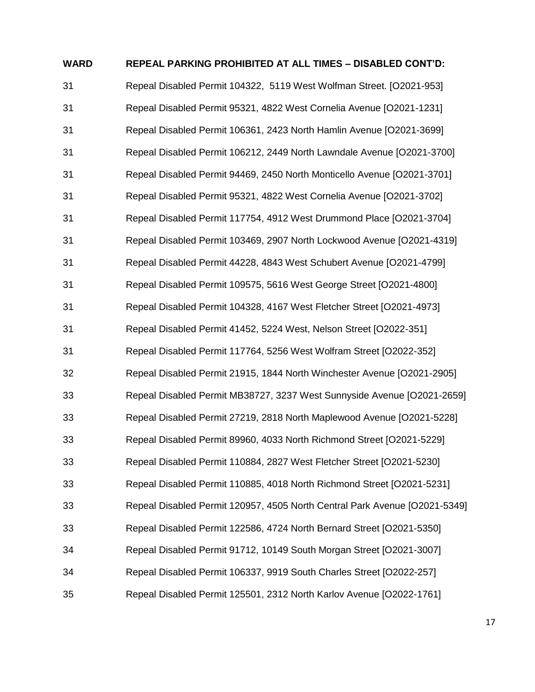# **WARD REPEAL PARKING PROHIBITED AT ALL TIMES – DISABLED CONT'D:** Repeal Disabled Permit 104322, 5119 West Wolfman Street. [O2021-953] Repeal Disabled Permit 95321, 4822 West Cornelia Avenue [O2021-1231] Repeal Disabled Permit 106361, 2423 North Hamlin Avenue [O2021-3699] Repeal Disabled Permit 106212, 2449 North Lawndale Avenue [O2021-3700] Repeal Disabled Permit 94469, 2450 North Monticello Avenue [O2021-3701] Repeal Disabled Permit 95321, 4822 West Cornelia Avenue [O2021-3702] Repeal Disabled Permit 117754, 4912 West Drummond Place [O2021-3704] Repeal Disabled Permit 103469, 2907 North Lockwood Avenue [O2021-4319] Repeal Disabled Permit 44228, 4843 West Schubert Avenue [O2021-4799] Repeal Disabled Permit 109575, 5616 West George Street [O2021-4800] Repeal Disabled Permit 104328, 4167 West Fletcher Street [O2021-4973] Repeal Disabled Permit 41452, 5224 West, Nelson Street [O2022-351] Repeal Disabled Permit 117764, 5256 West Wolfram Street [O2022-352] Repeal Disabled Permit 21915, 1844 North Winchester Avenue [O2021-2905] Repeal Disabled Permit MB38727, 3237 West Sunnyside Avenue [O2021-2659] Repeal Disabled Permit 27219, 2818 North Maplewood Avenue [O2021-5228] Repeal Disabled Permit 89960, 4033 North Richmond Street [O2021-5229] Repeal Disabled Permit 110884, 2827 West Fletcher Street [O2021-5230] Repeal Disabled Permit 110885, 4018 North Richmond Street [O2021-5231] Repeal Disabled Permit 120957, 4505 North Central Park Avenue [O2021-5349] Repeal Disabled Permit 122586, 4724 North Bernard Street [O2021-5350] Repeal Disabled Permit 91712, 10149 South Morgan Street [O2021-3007] Repeal Disabled Permit 106337, 9919 South Charles Street [O2022-257] Repeal Disabled Permit 125501, 2312 North Karlov Avenue [O2022-1761]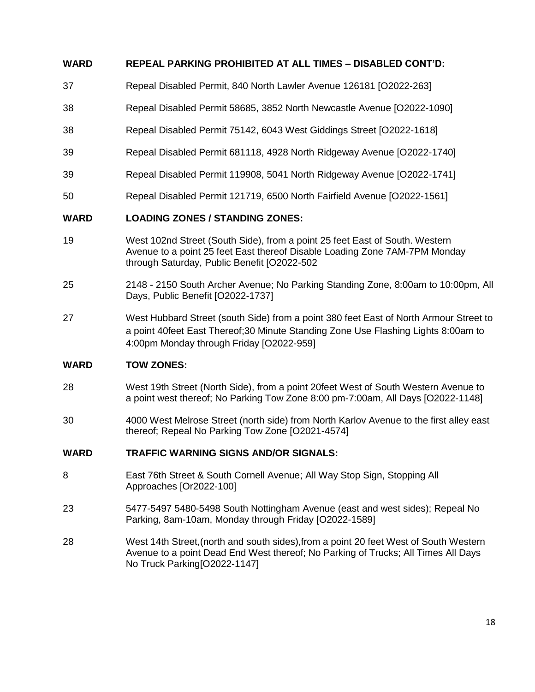# **WARD REPEAL PARKING PROHIBITED AT ALL TIMES – DISABLED CONT'D:**

- 37 Repeal Disabled Permit, 840 North Lawler Avenue 126181 [O2022-263]
- 38 Repeal Disabled Permit 58685, 3852 North Newcastle Avenue [O2022-1090]
- 38 Repeal Disabled Permit 75142, 6043 West Giddings Street [O2022-1618]
- 39 Repeal Disabled Permit 681118, 4928 North Ridgeway Avenue [O2022-1740]
- 39 Repeal Disabled Permit 119908, 5041 North Ridgeway Avenue [O2022-1741]
- 50 Repeal Disabled Permit 121719, 6500 North Fairfield Avenue [O2022-1561]

## **WARD LOADING ZONES / STANDING ZONES:**

- 19 West 102nd Street (South Side), from a point 25 feet East of South. Western Avenue to a point 25 feet East thereof Disable Loading Zone 7AM-7PM Monday through Saturday, Public Benefit [O2022-502
- 25 2148 2150 South Archer Avenue; No Parking Standing Zone, 8:00am to 10:00pm, All Days, Public Benefit [O2022-1737]
- 27 West Hubbard Street (south Side) from a point 380 feet East of North Armour Street to a point 40feet East Thereof;30 Minute Standing Zone Use Flashing Lights 8:00am to 4:00pm Monday through Friday [O2022-959]

#### **WARD TOW ZONES:**

- 28 West 19th Street (North Side), from a point 20feet West of South Western Avenue to a point west thereof; No Parking Tow Zone 8:00 pm-7:00am, All Days [O2022-1148]
- 30 4000 West Melrose Street (north side) from North Karlov Avenue to the first alley east thereof; Repeal No Parking Tow Zone [O2021-4574]

#### **WARD TRAFFIC WARNING SIGNS AND/OR SIGNALS:**

- 8 East 76th Street & South Cornell Avenue; All Way Stop Sign, Stopping All Approaches [Or2022-100]
- 23 5477-5497 5480-5498 South Nottingham Avenue (east and west sides); Repeal No Parking, 8am-10am, Monday through Friday [O2022-1589]
- 28 West 14th Street,(north and south sides),from a point 20 feet West of South Western Avenue to a point Dead End West thereof; No Parking of Trucks; All Times All Days No Truck Parking[O2022-1147]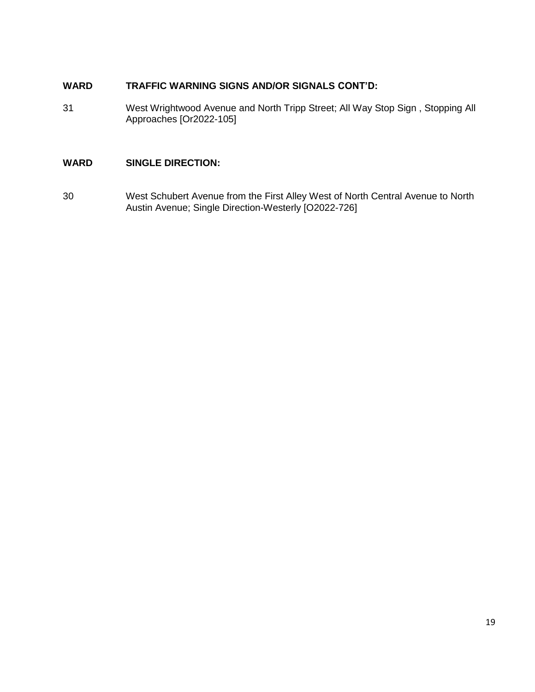# **WARD TRAFFIC WARNING SIGNS AND/OR SIGNALS CONT'D:**

31 West Wrightwood Avenue and North Tripp Street; All Way Stop Sign , Stopping All Approaches [Or2022-105]

# **WARD SINGLE DIRECTION:**

30 West Schubert Avenue from the First Alley West of North Central Avenue to North Austin Avenue; Single Direction-Westerly [O2022-726]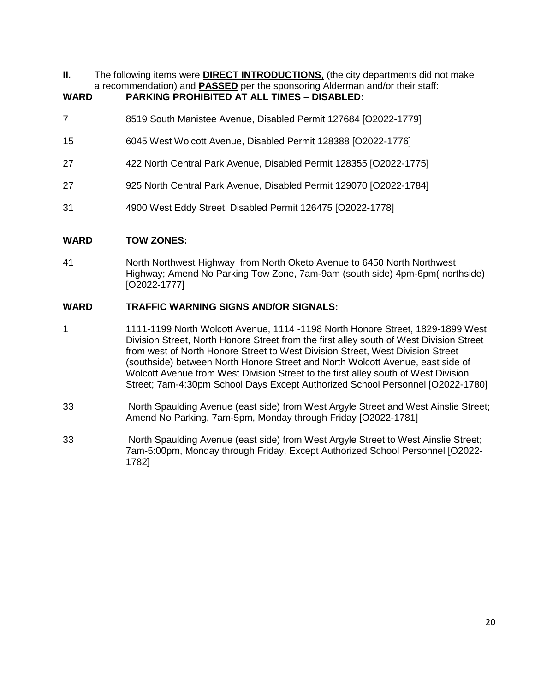**II.** The following items were **DIRECT INTRODUCTIONS**, (the city departments did not make a recommendation) and **PASSED** per the sponsoring Alderman and/or their staff:

# **WARD PARKING PROHIBITED AT ALL TIMES – DISABLED:**

- 7 8519 South Manistee Avenue, Disabled Permit 127684 [O2022-1779]
- 15 6045 West Wolcott Avenue, Disabled Permit 128388 [O2022-1776]
- 27 422 North Central Park Avenue, Disabled Permit 128355 [O2022-1775]
- 27 925 North Central Park Avenue, Disabled Permit 129070 [O2022-1784]
- 31 4900 West Eddy Street, Disabled Permit 126475 [O2022-1778]

# **WARD TOW ZONES:**

41 North Northwest Highway from North Oketo Avenue to 6450 North Northwest Highway; Amend No Parking Tow Zone, 7am-9am (south side) 4pm-6pm( northside) [O2022-1777]

# **WARD TRAFFIC WARNING SIGNS AND/OR SIGNALS:**

- 1 1111-1199 North Wolcott Avenue, 1114 -1198 North Honore Street, 1829-1899 West Division Street, North Honore Street from the first alley south of West Division Street from west of North Honore Street to West Division Street, West Division Street (southside) between North Honore Street and North Wolcott Avenue, east side of Wolcott Avenue from West Division Street to the first alley south of West Division Street; 7am-4:30pm School Days Except Authorized School Personnel [O2022-1780]
- 33 North Spaulding Avenue (east side) from West Argyle Street and West Ainslie Street; Amend No Parking, 7am-5pm, Monday through Friday [O2022-1781]
- 33 North Spaulding Avenue (east side) from West Argyle Street to West Ainslie Street; 7am-5:00pm, Monday through Friday, Except Authorized School Personnel [O2022- 1782]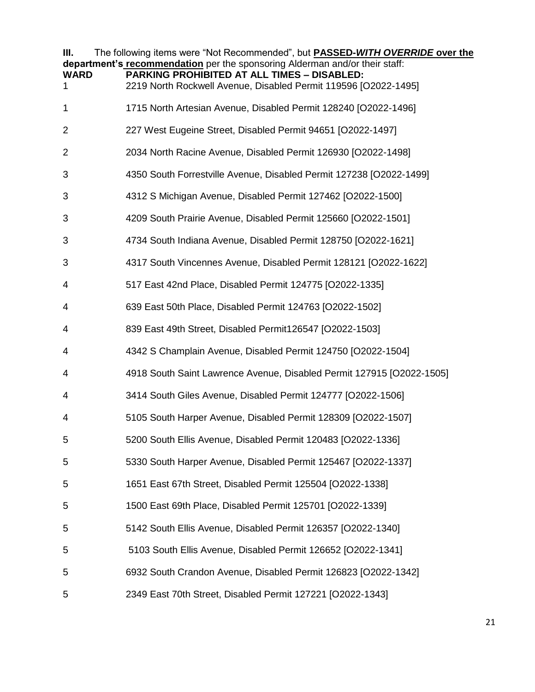| Ш.<br><b>WARD</b><br>1. | The following items were "Not Recommended", but <b>PASSED-WITH OVERRIDE over the</b><br>department's recommendation per the sponsoring Alderman and/or their staff:<br><b>PARKING PROHIBITED AT ALL TIMES - DISABLED:</b><br>2219 North Rockwell Avenue, Disabled Permit 119596 [O2022-1495] |
|-------------------------|----------------------------------------------------------------------------------------------------------------------------------------------------------------------------------------------------------------------------------------------------------------------------------------------|
| 1                       | 1715 North Artesian Avenue, Disabled Permit 128240 [O2022-1496]                                                                                                                                                                                                                              |
| 2                       | 227 West Eugeine Street, Disabled Permit 94651 [O2022-1497]                                                                                                                                                                                                                                  |
| $\overline{2}$          | 2034 North Racine Avenue, Disabled Permit 126930 [O2022-1498]                                                                                                                                                                                                                                |
| 3                       | 4350 South Forrestville Avenue, Disabled Permit 127238 [O2022-1499]                                                                                                                                                                                                                          |
| 3                       | 4312 S Michigan Avenue, Disabled Permit 127462 [O2022-1500]                                                                                                                                                                                                                                  |
| 3                       | 4209 South Prairie Avenue, Disabled Permit 125660 [O2022-1501]                                                                                                                                                                                                                               |
| 3                       | 4734 South Indiana Avenue, Disabled Permit 128750 [O2022-1621]                                                                                                                                                                                                                               |
| 3                       | 4317 South Vincennes Avenue, Disabled Permit 128121 [O2022-1622]                                                                                                                                                                                                                             |
| 4                       | 517 East 42nd Place, Disabled Permit 124775 [O2022-1335]                                                                                                                                                                                                                                     |
| 4                       | 639 East 50th Place, Disabled Permit 124763 [O2022-1502]                                                                                                                                                                                                                                     |
| 4                       | 839 East 49th Street, Disabled Permit126547 [O2022-1503]                                                                                                                                                                                                                                     |
| 4                       | 4342 S Champlain Avenue, Disabled Permit 124750 [O2022-1504]                                                                                                                                                                                                                                 |
| 4                       | 4918 South Saint Lawrence Avenue, Disabled Permit 127915 [O2022-1505]                                                                                                                                                                                                                        |
| 4                       | 3414 South Giles Avenue, Disabled Permit 124777 [O2022-1506]                                                                                                                                                                                                                                 |
| 4                       | 5105 South Harper Avenue, Disabled Permit 128309 [O2022-1507]                                                                                                                                                                                                                                |
|                         | 5200 South Ellis Avenue, Disabled Permit 120483 [O2022-1336]                                                                                                                                                                                                                                 |
| 5                       | 5330 South Harper Avenue, Disabled Permit 125467 [O2022-1337]                                                                                                                                                                                                                                |
| 5                       | 1651 East 67th Street, Disabled Permit 125504 [O2022-1338]                                                                                                                                                                                                                                   |
| 5                       | 1500 East 69th Place, Disabled Permit 125701 [O2022-1339]                                                                                                                                                                                                                                    |
| 5                       | 5142 South Ellis Avenue, Disabled Permit 126357 [O2022-1340]                                                                                                                                                                                                                                 |
| 5                       | 5103 South Ellis Avenue, Disabled Permit 126652 [O2022-1341]                                                                                                                                                                                                                                 |
| 5                       | 6932 South Crandon Avenue, Disabled Permit 126823 [O2022-1342]                                                                                                                                                                                                                               |
| 5                       | 2349 East 70th Street, Disabled Permit 127221 [O2022-1343]                                                                                                                                                                                                                                   |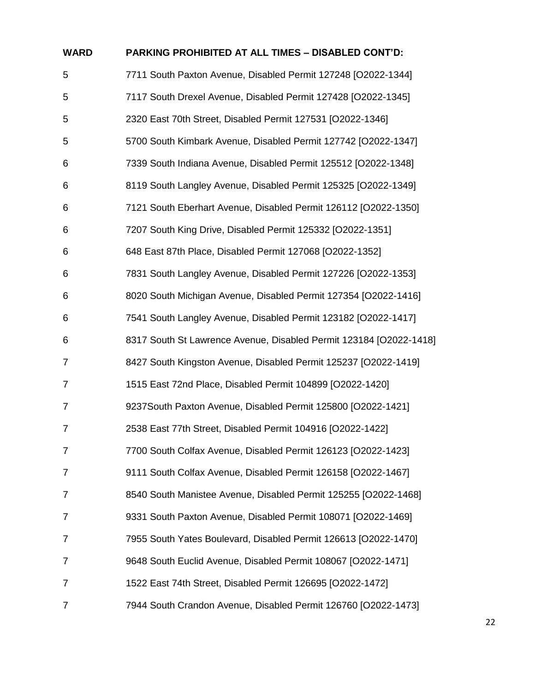| <b>WARD</b>    | PARKING PROHIBITED AT ALL TIMES - DISABLED CONT'D:                 |
|----------------|--------------------------------------------------------------------|
| 5              | 7711 South Paxton Avenue, Disabled Permit 127248 [O2022-1344]      |
| 5              | 7117 South Drexel Avenue, Disabled Permit 127428 [O2022-1345]      |
| 5              | 2320 East 70th Street, Disabled Permit 127531 [O2022-1346]         |
| 5              | 5700 South Kimbark Avenue, Disabled Permit 127742 [O2022-1347]     |
| 6              | 7339 South Indiana Avenue, Disabled Permit 125512 [O2022-1348]     |
| 6              | 8119 South Langley Avenue, Disabled Permit 125325 [O2022-1349]     |
| 6              | 7121 South Eberhart Avenue, Disabled Permit 126112 [O2022-1350]    |
| 6              | 7207 South King Drive, Disabled Permit 125332 [O2022-1351]         |
| 6              | 648 East 87th Place, Disabled Permit 127068 [O2022-1352]           |
| 6              | 7831 South Langley Avenue, Disabled Permit 127226 [O2022-1353]     |
| 6              | 8020 South Michigan Avenue, Disabled Permit 127354 [O2022-1416]    |
| 6              | 7541 South Langley Avenue, Disabled Permit 123182 [O2022-1417]     |
| 6              | 8317 South St Lawrence Avenue, Disabled Permit 123184 [O2022-1418] |
| 7              | 8427 South Kingston Avenue, Disabled Permit 125237 [O2022-1419]    |
| $\overline{7}$ | 1515 East 72nd Place, Disabled Permit 104899 [O2022-1420]          |
| 7              | 9237South Paxton Avenue, Disabled Permit 125800 [O2022-1421]       |
| 7              | 2538 East 77th Street, Disabled Permit 104916 [O2022-1422]         |
| 7              | 7700 South Colfax Avenue, Disabled Permit 126123 [O2022-1423]      |
| 7              | 9111 South Colfax Avenue, Disabled Permit 126158 [O2022-1467]      |
| 7              | 8540 South Manistee Avenue, Disabled Permit 125255 [O2022-1468]    |
| 7              | 9331 South Paxton Avenue, Disabled Permit 108071 [O2022-1469]      |
| 7              | 7955 South Yates Boulevard, Disabled Permit 126613 [O2022-1470]    |
| 7              | 9648 South Euclid Avenue, Disabled Permit 108067 [O2022-1471]      |
| 7              | 1522 East 74th Street, Disabled Permit 126695 [O2022-1472]         |
| 7              | 7944 South Crandon Avenue, Disabled Permit 126760 [O2022-1473]     |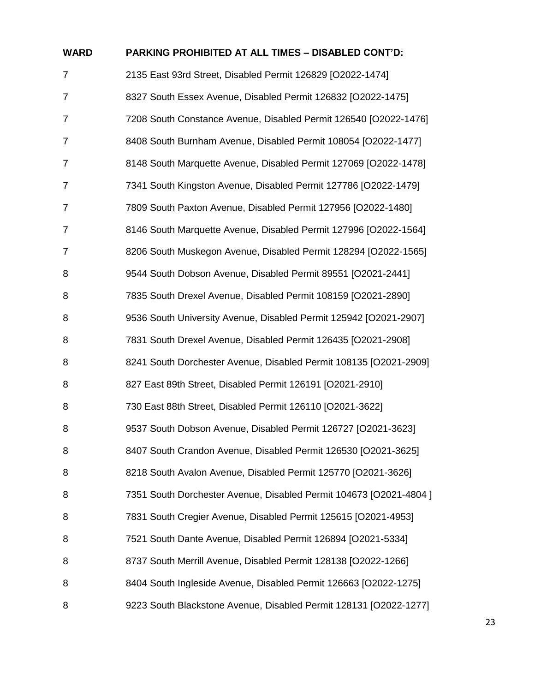| <b>WARD</b>    | <b>PARKING PROHIBITED AT ALL TIMES - DISABLED CONT'D:</b>         |
|----------------|-------------------------------------------------------------------|
| $\overline{7}$ | 2135 East 93rd Street, Disabled Permit 126829 [O2022-1474]        |
| 7              | 8327 South Essex Avenue, Disabled Permit 126832 [O2022-1475]      |
| 7              | 7208 South Constance Avenue, Disabled Permit 126540 [O2022-1476]  |
| $\overline{7}$ | 8408 South Burnham Avenue, Disabled Permit 108054 [O2022-1477]    |
| 7              | 8148 South Marquette Avenue, Disabled Permit 127069 [O2022-1478]  |
| 7              | 7341 South Kingston Avenue, Disabled Permit 127786 [O2022-1479]   |
| $\overline{7}$ | 7809 South Paxton Avenue, Disabled Permit 127956 [O2022-1480]     |
| 7              | 8146 South Marquette Avenue, Disabled Permit 127996 [O2022-1564]  |
| 7              | 8206 South Muskegon Avenue, Disabled Permit 128294 [O2022-1565]   |
| 8              | 9544 South Dobson Avenue, Disabled Permit 89551 [O2021-2441]      |
| 8              | 7835 South Drexel Avenue, Disabled Permit 108159 [O2021-2890]     |
| 8              | 9536 South University Avenue, Disabled Permit 125942 [O2021-2907] |
| 8              | 7831 South Drexel Avenue, Disabled Permit 126435 [O2021-2908]     |
| 8              | 8241 South Dorchester Avenue, Disabled Permit 108135 [O2021-2909] |
| 8              | 827 East 89th Street, Disabled Permit 126191 [O2021-2910]         |
| 8              | 730 East 88th Street, Disabled Permit 126110 [O2021-3622]         |
| 8              | 9537 South Dobson Avenue, Disabled Permit 126727 [O2021-3623]     |
| 8              | 8407 South Crandon Avenue, Disabled Permit 126530 [O2021-3625]    |
| 8              | 8218 South Avalon Avenue, Disabled Permit 125770 [O2021-3626]     |
| 8              | 7351 South Dorchester Avenue, Disabled Permit 104673 [O2021-4804] |
| 8              | 7831 South Cregier Avenue, Disabled Permit 125615 [O2021-4953]    |
| 8              | 7521 South Dante Avenue, Disabled Permit 126894 [O2021-5334]      |
| 8              | 8737 South Merrill Avenue, Disabled Permit 128138 [O2022-1266]    |
| 8              | 8404 South Ingleside Avenue, Disabled Permit 126663 [O2022-1275]  |
| 8              | 9223 South Blackstone Avenue, Disabled Permit 128131 [O2022-1277] |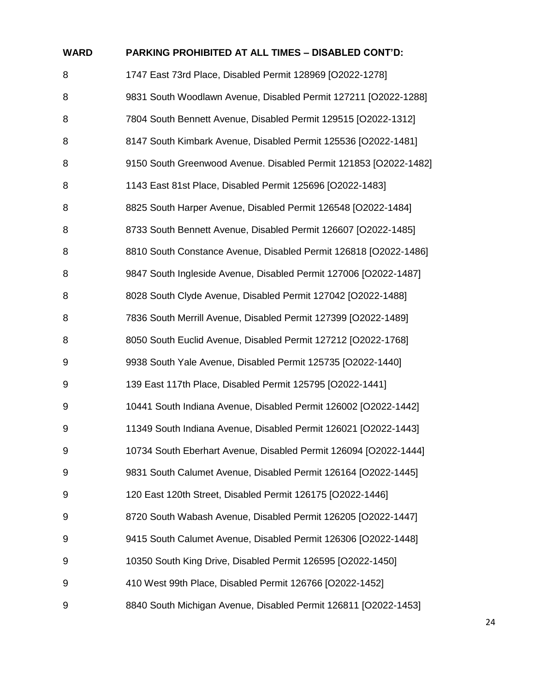| <b>WARD</b> | PARKING PROHIBITED AT ALL TIMES - DISABLED CONT'D:               |
|-------------|------------------------------------------------------------------|
| 8           | 1747 East 73rd Place, Disabled Permit 128969 [O2022-1278]        |
| 8           | 9831 South Woodlawn Avenue, Disabled Permit 127211 [O2022-1288]  |
| 8           | 7804 South Bennett Avenue, Disabled Permit 129515 [O2022-1312]   |
| 8           | 8147 South Kimbark Avenue, Disabled Permit 125536 [O2022-1481]   |
| 8           | 9150 South Greenwood Avenue. Disabled Permit 121853 [O2022-1482] |
| 8           | 1143 East 81st Place, Disabled Permit 125696 [O2022-1483]        |
| 8           | 8825 South Harper Avenue, Disabled Permit 126548 [O2022-1484]    |
| 8           | 8733 South Bennett Avenue, Disabled Permit 126607 [O2022-1485]   |
| 8           | 8810 South Constance Avenue, Disabled Permit 126818 [O2022-1486] |
| 8           | 9847 South Ingleside Avenue, Disabled Permit 127006 [O2022-1487] |
| 8           | 8028 South Clyde Avenue, Disabled Permit 127042 [O2022-1488]     |
| 8           | 7836 South Merrill Avenue, Disabled Permit 127399 [O2022-1489]   |
| 8           | 8050 South Euclid Avenue, Disabled Permit 127212 [O2022-1768]    |
| 9           | 9938 South Yale Avenue, Disabled Permit 125735 [O2022-1440]      |
| 9           | 139 East 117th Place, Disabled Permit 125795 [O2022-1441]        |
| 9           | 10441 South Indiana Avenue, Disabled Permit 126002 [O2022-1442]  |
| 9           | 11349 South Indiana Avenue, Disabled Permit 126021 [O2022-1443]  |
| 9           | 10734 South Eberhart Avenue, Disabled Permit 126094 [O2022-1444] |
| 9           | 9831 South Calumet Avenue, Disabled Permit 126164 [O2022-1445]   |
| 9           | 120 East 120th Street, Disabled Permit 126175 [O2022-1446]       |
| 9           | 8720 South Wabash Avenue, Disabled Permit 126205 [O2022-1447]    |
| 9           | 9415 South Calumet Avenue, Disabled Permit 126306 [O2022-1448]   |
| 9           | 10350 South King Drive, Disabled Permit 126595 [O2022-1450]      |
| 9           | 410 West 99th Place, Disabled Permit 126766 [O2022-1452]         |
| 9           | 8840 South Michigan Avenue, Disabled Permit 126811 [O2022-1453]  |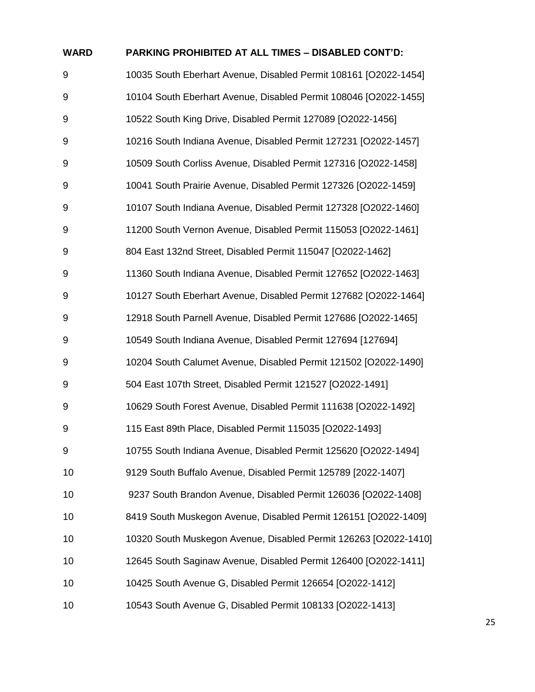| <b>WARD</b> | <b>PARKING PROHIBITED AT ALL TIMES - DISABLED CONT'D:</b>        |
|-------------|------------------------------------------------------------------|
| 9           | 10035 South Eberhart Avenue, Disabled Permit 108161 [O2022-1454] |
| 9           | 10104 South Eberhart Avenue, Disabled Permit 108046 [O2022-1455] |
| 9           | 10522 South King Drive, Disabled Permit 127089 [O2022-1456]      |
| 9           | 10216 South Indiana Avenue, Disabled Permit 127231 [O2022-1457]  |
| 9           | 10509 South Corliss Avenue, Disabled Permit 127316 [O2022-1458]  |
| 9           | 10041 South Prairie Avenue, Disabled Permit 127326 [O2022-1459]  |
| 9           | 10107 South Indiana Avenue, Disabled Permit 127328 [O2022-1460]  |
| 9           | 11200 South Vernon Avenue, Disabled Permit 115053 [O2022-1461]   |
| 9           | 804 East 132nd Street, Disabled Permit 115047 [O2022-1462]       |
| 9           | 11360 South Indiana Avenue, Disabled Permit 127652 [O2022-1463]  |
| 9           | 10127 South Eberhart Avenue, Disabled Permit 127682 [O2022-1464] |
| 9           | 12918 South Parnell Avenue, Disabled Permit 127686 [O2022-1465]  |
| 9           | 10549 South Indiana Avenue, Disabled Permit 127694 [127694]      |
| 9           | 10204 South Calumet Avenue, Disabled Permit 121502 [O2022-1490]  |
| 9           | 504 East 107th Street, Disabled Permit 121527 [O2022-1491]       |
| 9           | 10629 South Forest Avenue, Disabled Permit 111638 [O2022-1492]   |
| 9           | 115 East 89th Place, Disabled Permit 115035 [O2022-1493]         |
| 9           | 10755 South Indiana Avenue, Disabled Permit 125620 [O2022-1494]  |
| 10          | 9129 South Buffalo Avenue, Disabled Permit 125789 [2022-1407]    |
| 10          | 9237 South Brandon Avenue, Disabled Permit 126036 [O2022-1408]   |
| 10          | 8419 South Muskegon Avenue, Disabled Permit 126151 [O2022-1409]  |
| 10          | 10320 South Muskegon Avenue, Disabled Permit 126263 [O2022-1410] |
| 10          | 12645 South Saginaw Avenue, Disabled Permit 126400 [O2022-1411]  |
| 10          | 10425 South Avenue G, Disabled Permit 126654 [O2022-1412]        |
| 10          | 10543 South Avenue G, Disabled Permit 108133 [O2022-1413]        |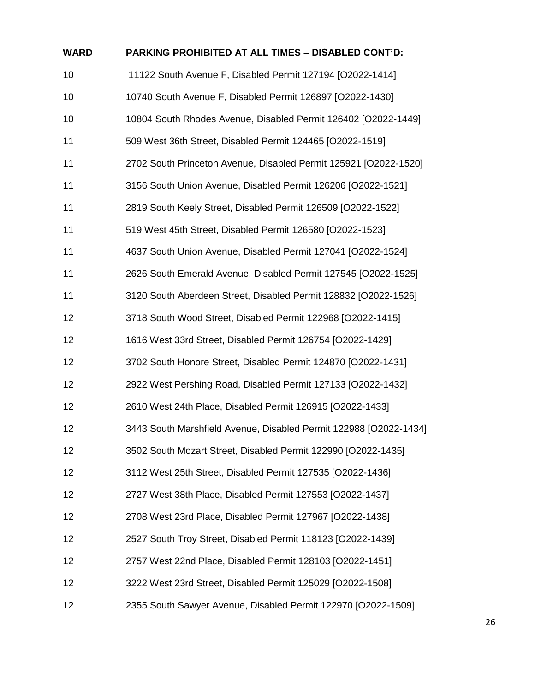| <b>WARD</b> | PARKING PROHIBITED AT ALL TIMES - DISABLED CONT'D:                |
|-------------|-------------------------------------------------------------------|
| 10          | 11122 South Avenue F, Disabled Permit 127194 [O2022-1414]         |
| 10          | 10740 South Avenue F, Disabled Permit 126897 [O2022-1430]         |
| 10          | 10804 South Rhodes Avenue, Disabled Permit 126402 [O2022-1449]    |
| 11          | 509 West 36th Street, Disabled Permit 124465 [O2022-1519]         |
| 11          | 2702 South Princeton Avenue, Disabled Permit 125921 [O2022-1520]  |
| 11          | 3156 South Union Avenue, Disabled Permit 126206 [O2022-1521]      |
| 11          | 2819 South Keely Street, Disabled Permit 126509 [O2022-1522]      |
| 11          | 519 West 45th Street, Disabled Permit 126580 [O2022-1523]         |
| 11          | 4637 South Union Avenue, Disabled Permit 127041 [O2022-1524]      |
| 11          | 2626 South Emerald Avenue, Disabled Permit 127545 [O2022-1525]    |
| 11          | 3120 South Aberdeen Street, Disabled Permit 128832 [O2022-1526]   |
| 12          | 3718 South Wood Street, Disabled Permit 122968 [O2022-1415]       |
| 12          | 1616 West 33rd Street, Disabled Permit 126754 [O2022-1429]        |
| 12          | 3702 South Honore Street, Disabled Permit 124870 [O2022-1431]     |
| 12          | 2922 West Pershing Road, Disabled Permit 127133 [O2022-1432]      |
| 12          | 2610 West 24th Place, Disabled Permit 126915 [O2022-1433]         |
| 12          | 3443 South Marshfield Avenue, Disabled Permit 122988 [O2022-1434] |
| 12          | 3502 South Mozart Street, Disabled Permit 122990 [O2022-1435]     |
| 12          | 3112 West 25th Street, Disabled Permit 127535 [O2022-1436]        |
| 12          | 2727 West 38th Place, Disabled Permit 127553 [O2022-1437]         |
| 12          | 2708 West 23rd Place, Disabled Permit 127967 [O2022-1438]         |
| 12          | 2527 South Troy Street, Disabled Permit 118123 [O2022-1439]       |
| 12          | 2757 West 22nd Place, Disabled Permit 128103 [O2022-1451]         |
| 12          | 3222 West 23rd Street, Disabled Permit 125029 [O2022-1508]        |
| 12          | 2355 South Sawyer Avenue, Disabled Permit 122970 [O2022-1509]     |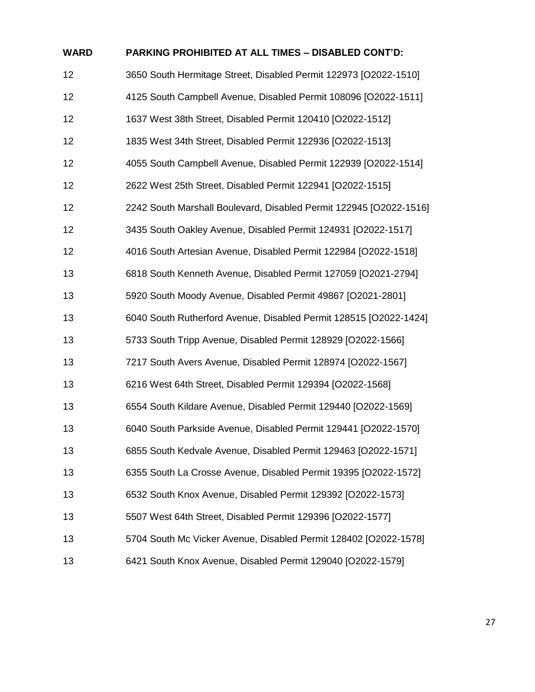| <b>WARD</b> | <b>PARKING PROHIBITED AT ALL TIMES - DISABLED CONT'D:</b>          |
|-------------|--------------------------------------------------------------------|
| 12          | 3650 South Hermitage Street, Disabled Permit 122973 [O2022-1510]   |
| 12          | 4125 South Campbell Avenue, Disabled Permit 108096 [O2022-1511]    |
| 12          | 1637 West 38th Street, Disabled Permit 120410 [O2022-1512]         |
| 12          | 1835 West 34th Street, Disabled Permit 122936 [O2022-1513]         |
| 12          | 4055 South Campbell Avenue, Disabled Permit 122939 [O2022-1514]    |
| 12          | 2622 West 25th Street, Disabled Permit 122941 [O2022-1515]         |
| 12          | 2242 South Marshall Boulevard, Disabled Permit 122945 [O2022-1516] |
| 12          | 3435 South Oakley Avenue, Disabled Permit 124931 [O2022-1517]      |
| 12          | 4016 South Artesian Avenue, Disabled Permit 122984 [O2022-1518]    |
| 13          | 6818 South Kenneth Avenue, Disabled Permit 127059 [O2021-2794]     |
| 13          | 5920 South Moody Avenue, Disabled Permit 49867 [O2021-2801]        |
| 13          | 6040 South Rutherford Avenue, Disabled Permit 128515 [O2022-1424]  |
| 13          | 5733 South Tripp Avenue, Disabled Permit 128929 [O2022-1566]       |
| 13          | 7217 South Avers Avenue, Disabled Permit 128974 [O2022-1567]       |
| 13          | 6216 West 64th Street, Disabled Permit 129394 [O2022-1568]         |
| 13          | 6554 South Kildare Avenue, Disabled Permit 129440 [O2022-1569]     |
| 13          | 6040 South Parkside Avenue, Disabled Permit 129441 [O2022-1570]    |
| 13          | 6855 South Kedvale Avenue, Disabled Permit 129463 [O2022-1571]     |
| 13          | 6355 South La Crosse Avenue, Disabled Permit 19395 [O2022-1572]    |
| 13          | 6532 South Knox Avenue, Disabled Permit 129392 [O2022-1573]        |
| 13          | 5507 West 64th Street, Disabled Permit 129396 [O2022-1577]         |
| 13          | 5704 South Mc Vicker Avenue, Disabled Permit 128402 [O2022-1578]   |
| 13          | 6421 South Knox Avenue, Disabled Permit 129040 [O2022-1579]        |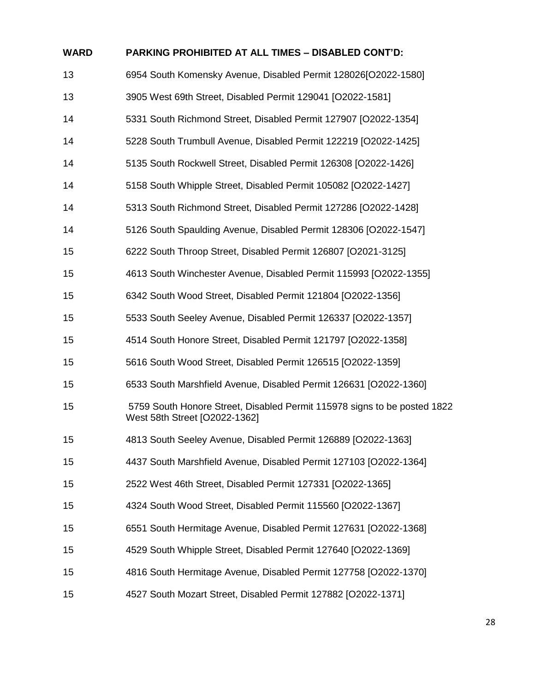| <b>WARD</b> | <b>PARKING PROHIBITED AT ALL TIMES - DISABLED CONT'D:</b>                                                 |
|-------------|-----------------------------------------------------------------------------------------------------------|
| 13          | 6954 South Komensky Avenue, Disabled Permit 128026[O2022-1580]                                            |
| 13          | 3905 West 69th Street, Disabled Permit 129041 [O2022-1581]                                                |
| 14          | 5331 South Richmond Street, Disabled Permit 127907 [O2022-1354]                                           |
| 14          | 5228 South Trumbull Avenue, Disabled Permit 122219 [O2022-1425]                                           |
| 14          | 5135 South Rockwell Street, Disabled Permit 126308 [O2022-1426]                                           |
| 14          | 5158 South Whipple Street, Disabled Permit 105082 [O2022-1427]                                            |
| 14          | 5313 South Richmond Street, Disabled Permit 127286 [O2022-1428]                                           |
| 14          | 5126 South Spaulding Avenue, Disabled Permit 128306 [O2022-1547]                                          |
| 15          | 6222 South Throop Street, Disabled Permit 126807 [O2021-3125]                                             |
| 15          | 4613 South Winchester Avenue, Disabled Permit 115993 [O2022-1355]                                         |
| 15          | 6342 South Wood Street, Disabled Permit 121804 [O2022-1356]                                               |
| 15          | 5533 South Seeley Avenue, Disabled Permit 126337 [O2022-1357]                                             |
| 15          | 4514 South Honore Street, Disabled Permit 121797 [O2022-1358]                                             |
| 15          | 5616 South Wood Street, Disabled Permit 126515 [O2022-1359]                                               |
| 15          | 6533 South Marshfield Avenue, Disabled Permit 126631 [O2022-1360]                                         |
| 15          | 5759 South Honore Street, Disabled Permit 115978 signs to be posted 1822<br>West 58th Street [O2022-1362] |
| 15          | 4813 South Seeley Avenue, Disabled Permit 126889 [O2022-1363]                                             |
| 15          | 4437 South Marshfield Avenue, Disabled Permit 127103 [O2022-1364]                                         |
| 15          | 2522 West 46th Street, Disabled Permit 127331 [O2022-1365]                                                |
| 15          | 4324 South Wood Street, Disabled Permit 115560 [O2022-1367]                                               |
| 15          | 6551 South Hermitage Avenue, Disabled Permit 127631 [O2022-1368]                                          |
| 15          | 4529 South Whipple Street, Disabled Permit 127640 [O2022-1369]                                            |
| 15          | 4816 South Hermitage Avenue, Disabled Permit 127758 [O2022-1370]                                          |
| 15          | 4527 South Mozart Street, Disabled Permit 127882 [O2022-1371]                                             |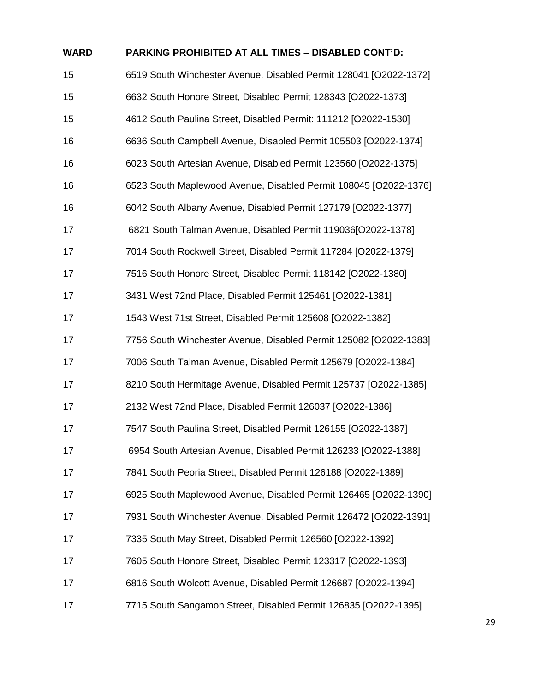| <b>WARD</b> | <b>PARKING PROHIBITED AT ALL TIMES - DISABLED CONT'D:</b>         |
|-------------|-------------------------------------------------------------------|
| 15          | 6519 South Winchester Avenue, Disabled Permit 128041 [O2022-1372] |
| 15          | 6632 South Honore Street, Disabled Permit 128343 [O2022-1373]     |
| 15          | 4612 South Paulina Street, Disabled Permit: 111212 [O2022-1530]   |
| 16          | 6636 South Campbell Avenue, Disabled Permit 105503 [O2022-1374]   |
| 16          | 6023 South Artesian Avenue, Disabled Permit 123560 [O2022-1375]   |
| 16          | 6523 South Maplewood Avenue, Disabled Permit 108045 [O2022-1376]  |
| 16          | 6042 South Albany Avenue, Disabled Permit 127179 [O2022-1377]     |
| 17          | 6821 South Talman Avenue, Disabled Permit 119036[O2022-1378]      |
| 17          | 7014 South Rockwell Street, Disabled Permit 117284 [O2022-1379]   |
| 17          | 7516 South Honore Street, Disabled Permit 118142 [O2022-1380]     |
| 17          | 3431 West 72nd Place, Disabled Permit 125461 [O2022-1381]         |
| 17          | 1543 West 71st Street, Disabled Permit 125608 [O2022-1382]        |
| 17          | 7756 South Winchester Avenue, Disabled Permit 125082 [O2022-1383] |
| 17          | 7006 South Talman Avenue, Disabled Permit 125679 [O2022-1384]     |
| 17          | 8210 South Hermitage Avenue, Disabled Permit 125737 [O2022-1385]  |
| 17          | 2132 West 72nd Place, Disabled Permit 126037 [O2022-1386]         |
| 17          | 7547 South Paulina Street, Disabled Permit 126155 [O2022-1387]    |
| 17          | 6954 South Artesian Avenue, Disabled Permit 126233 [O2022-1388]   |
| 17          | 7841 South Peoria Street, Disabled Permit 126188 [O2022-1389]     |
| 17          | 6925 South Maplewood Avenue, Disabled Permit 126465 [O2022-1390]  |
| 17          | 7931 South Winchester Avenue, Disabled Permit 126472 [O2022-1391] |
| 17          | 7335 South May Street, Disabled Permit 126560 [O2022-1392]        |
| 17          | 7605 South Honore Street, Disabled Permit 123317 [O2022-1393]     |
| 17          | 6816 South Wolcott Avenue, Disabled Permit 126687 [O2022-1394]    |
| 17          | 7715 South Sangamon Street, Disabled Permit 126835 [O2022-1395]   |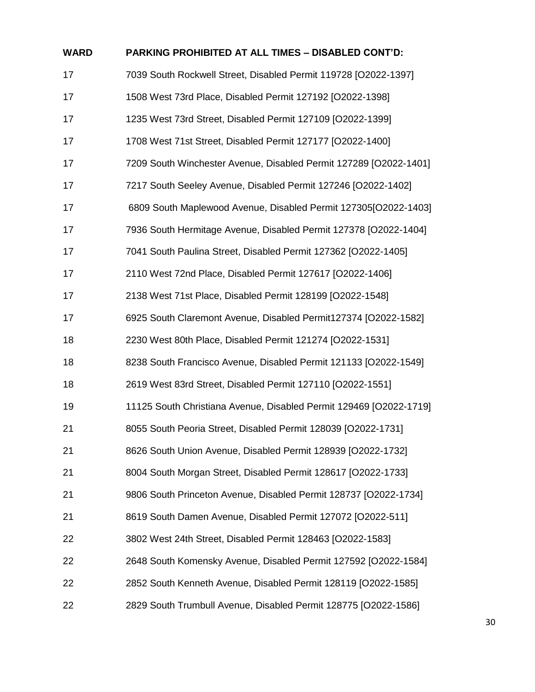| <b>WARD</b> | PARKING PROHIBITED AT ALL TIMES - DISABLED CONT'D:                 |
|-------------|--------------------------------------------------------------------|
| 17          | 7039 South Rockwell Street, Disabled Permit 119728 [O2022-1397]    |
| 17          | 1508 West 73rd Place, Disabled Permit 127192 [O2022-1398]          |
| 17          | 1235 West 73rd Street, Disabled Permit 127109 [O2022-1399]         |
| 17          | 1708 West 71st Street, Disabled Permit 127177 [O2022-1400]         |
| 17          | 7209 South Winchester Avenue, Disabled Permit 127289 [O2022-1401]  |
| 17          | 7217 South Seeley Avenue, Disabled Permit 127246 [O2022-1402]      |
| 17          | 6809 South Maplewood Avenue, Disabled Permit 127305[O2022-1403]    |
| 17          | 7936 South Hermitage Avenue, Disabled Permit 127378 [O2022-1404]   |
| 17          | 7041 South Paulina Street, Disabled Permit 127362 [O2022-1405]     |
| 17          | 2110 West 72nd Place, Disabled Permit 127617 [O2022-1406]          |
| 17          | 2138 West 71st Place, Disabled Permit 128199 [O2022-1548]          |
| 17          | 6925 South Claremont Avenue, Disabled Permit127374 [O2022-1582]    |
| 18          | 2230 West 80th Place, Disabled Permit 121274 [O2022-1531]          |
| 18          | 8238 South Francisco Avenue, Disabled Permit 121133 [O2022-1549]   |
| 18          | 2619 West 83rd Street, Disabled Permit 127110 [O2022-1551]         |
| 19          | 11125 South Christiana Avenue, Disabled Permit 129469 [O2022-1719] |
| 21          | 8055 South Peoria Street, Disabled Permit 128039 [O2022-1731]      |
| 21          | 8626 South Union Avenue, Disabled Permit 128939 [O2022-1732]       |
| 21          | 8004 South Morgan Street, Disabled Permit 128617 [O2022-1733]      |
| 21          | 9806 South Princeton Avenue, Disabled Permit 128737 [O2022-1734]   |
| 21          | 8619 South Damen Avenue, Disabled Permit 127072 [O2022-511]        |
| 22          | 3802 West 24th Street, Disabled Permit 128463 [O2022-1583]         |
| 22          | 2648 South Komensky Avenue, Disabled Permit 127592 [O2022-1584]    |
| 22          | 2852 South Kenneth Avenue, Disabled Permit 128119 [O2022-1585]     |
| 22          | 2829 South Trumbull Avenue, Disabled Permit 128775 [O2022-1586]    |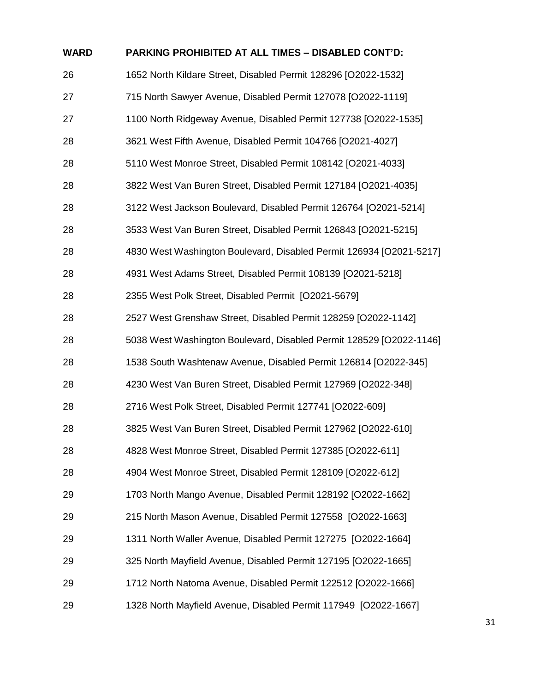| <b>WARD</b> | <b>PARKING PROHIBITED AT ALL TIMES - DISABLED CONT'D:</b>           |
|-------------|---------------------------------------------------------------------|
| 26          | 1652 North Kildare Street, Disabled Permit 128296 [O2022-1532]      |
| 27          | 715 North Sawyer Avenue, Disabled Permit 127078 [O2022-1119]        |
| 27          | 1100 North Ridgeway Avenue, Disabled Permit 127738 [O2022-1535]     |
| 28          | 3621 West Fifth Avenue, Disabled Permit 104766 [O2021-4027]         |
| 28          | 5110 West Monroe Street, Disabled Permit 108142 [O2021-4033]        |
| 28          | 3822 West Van Buren Street, Disabled Permit 127184 [O2021-4035]     |
| 28          | 3122 West Jackson Boulevard, Disabled Permit 126764 [O2021-5214]    |
| 28          | 3533 West Van Buren Street, Disabled Permit 126843 [O2021-5215]     |
| 28          | 4830 West Washington Boulevard, Disabled Permit 126934 [O2021-5217] |
| 28          | 4931 West Adams Street, Disabled Permit 108139 [O2021-5218]         |
| 28          | 2355 West Polk Street, Disabled Permit [O2021-5679]                 |
| 28          | 2527 West Grenshaw Street, Disabled Permit 128259 [O2022-1142]      |
| 28          | 5038 West Washington Boulevard, Disabled Permit 128529 [O2022-1146] |
| 28          | 1538 South Washtenaw Avenue, Disabled Permit 126814 [O2022-345]     |
| 28          | 4230 West Van Buren Street, Disabled Permit 127969 [O2022-348]      |
| 28          | 2716 West Polk Street, Disabled Permit 127741 [O2022-609]           |
| 28          | 3825 West Van Buren Street, Disabled Permit 127962 [O2022-610]      |
| 28          | 4828 West Monroe Street, Disabled Permit 127385 [O2022-611]         |
| 28          | 4904 West Monroe Street, Disabled Permit 128109 [O2022-612]         |
| 29          | 1703 North Mango Avenue, Disabled Permit 128192 [O2022-1662]        |
| 29          | 215 North Mason Avenue, Disabled Permit 127558 [O2022-1663]         |
| 29          | 1311 North Waller Avenue, Disabled Permit 127275 [O2022-1664]       |
| 29          | 325 North Mayfield Avenue, Disabled Permit 127195 [O2022-1665]      |
| 29          | 1712 North Natoma Avenue, Disabled Permit 122512 [O2022-1666]       |
| 29          | 1328 North Mayfield Avenue, Disabled Permit 117949 [O2022-1667]     |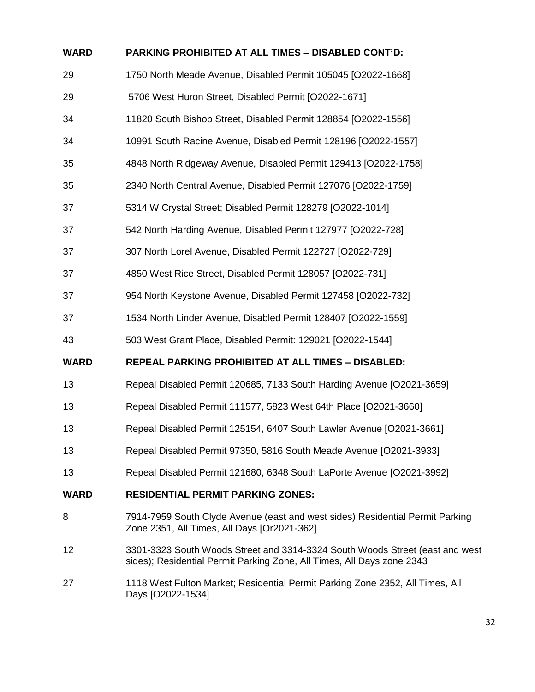| <b>WARD</b> | PARKING PROHIBITED AT ALL TIMES - DISABLED CONT'D:                                                                                                     |
|-------------|--------------------------------------------------------------------------------------------------------------------------------------------------------|
| 29          | 1750 North Meade Avenue, Disabled Permit 105045 [O2022-1668]                                                                                           |
| 29          | 5706 West Huron Street, Disabled Permit [O2022-1671]                                                                                                   |
| 34          | 11820 South Bishop Street, Disabled Permit 128854 [O2022-1556]                                                                                         |
| 34          | 10991 South Racine Avenue, Disabled Permit 128196 [O2022-1557]                                                                                         |
| 35          | 4848 North Ridgeway Avenue, Disabled Permit 129413 [O2022-1758]                                                                                        |
| 35          | 2340 North Central Avenue, Disabled Permit 127076 [O2022-1759]                                                                                         |
| 37          | 5314 W Crystal Street; Disabled Permit 128279 [O2022-1014]                                                                                             |
| 37          | 542 North Harding Avenue, Disabled Permit 127977 [O2022-728]                                                                                           |
| 37          | 307 North Lorel Avenue, Disabled Permit 122727 [O2022-729]                                                                                             |
| 37          | 4850 West Rice Street, Disabled Permit 128057 [O2022-731]                                                                                              |
| 37          | 954 North Keystone Avenue, Disabled Permit 127458 [O2022-732]                                                                                          |
| 37          | 1534 North Linder Avenue, Disabled Permit 128407 [O2022-1559]                                                                                          |
| 43          | 503 West Grant Place, Disabled Permit: 129021 [O2022-1544]                                                                                             |
| <b>WARD</b> | REPEAL PARKING PROHIBITED AT ALL TIMES - DISABLED:                                                                                                     |
| 13          | Repeal Disabled Permit 120685, 7133 South Harding Avenue [O2021-3659]                                                                                  |
| 13          | Repeal Disabled Permit 111577, 5823 West 64th Place [O2021-3660]                                                                                       |
| 13          | Repeal Disabled Permit 125154, 6407 South Lawler Avenue [O2021-3661]                                                                                   |
| 13          | Repeal Disabled Permit 97350, 5816 South Meade Avenue [O2021-3933]                                                                                     |
| 13          | Repeal Disabled Permit 121680, 6348 South LaPorte Avenue [O2021-3992]                                                                                  |
| <b>WARD</b> | <b>RESIDENTIAL PERMIT PARKING ZONES:</b>                                                                                                               |
| 8           | 7914-7959 South Clyde Avenue (east and west sides) Residential Permit Parking<br>Zone 2351, All Times, All Days [Or2021-362]                           |
| 12          | 3301-3323 South Woods Street and 3314-3324 South Woods Street (east and west<br>sides); Residential Permit Parking Zone, All Times, All Days zone 2343 |
| 27          | 1118 West Fulton Market; Residential Permit Parking Zone 2352, All Times, All<br>Days [O2022-1534]                                                     |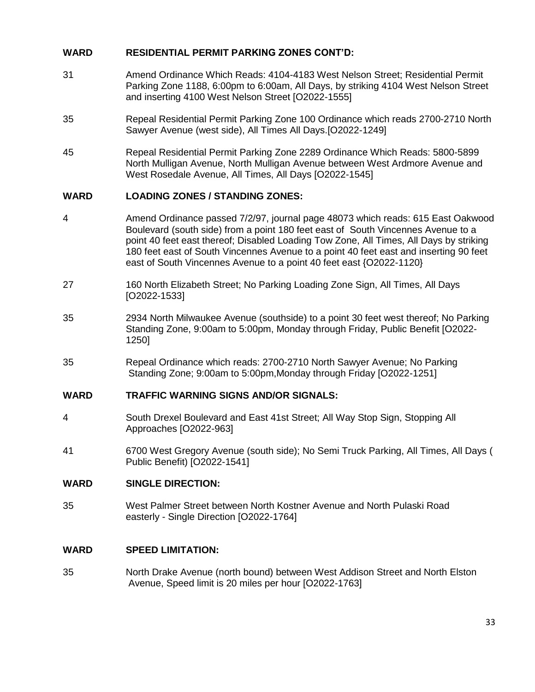# **WARD RESIDENTIAL PERMIT PARKING ZONES CONT'D:**

- 31 Amend Ordinance Which Reads: 4104-4183 West Nelson Street; Residential Permit Parking Zone 1188, 6:00pm to 6:00am, All Days, by striking 4104 West Nelson Street and inserting 4100 West Nelson Street [O2022-1555]
- 35 Repeal Residential Permit Parking Zone 100 Ordinance which reads 2700-2710 North Sawyer Avenue (west side), All Times All Days.[O2022-1249]
- 45 Repeal Residential Permit Parking Zone 2289 Ordinance Which Reads: 5800-5899 North Mulligan Avenue, North Mulligan Avenue between West Ardmore Avenue and West Rosedale Avenue, All Times, All Days [O2022-1545]

# **WARD LOADING ZONES / STANDING ZONES:**

- 4 Amend Ordinance passed 7/2/97, journal page 48073 which reads: 615 East Oakwood Boulevard (south side) from a point 180 feet east of South Vincennes Avenue to a point 40 feet east thereof; Disabled Loading Tow Zone, All Times, All Days by striking 180 feet east of South Vincennes Avenue to a point 40 feet east and inserting 90 feet east of South Vincennes Avenue to a point 40 feet east {O2022-1120}
- 27 160 North Elizabeth Street; No Parking Loading Zone Sign, All Times, All Days [O2022-1533]
- 35 2934 North Milwaukee Avenue (southside) to a point 30 feet west thereof; No Parking Standing Zone, 9:00am to 5:00pm, Monday through Friday, Public Benefit [O2022- 1250]
- 35 Repeal Ordinance which reads: 2700-2710 North Sawyer Avenue; No Parking Standing Zone; 9:00am to 5:00pm,Monday through Friday [O2022-1251]

#### **WARD TRAFFIC WARNING SIGNS AND/OR SIGNALS:**

- 4 South Drexel Boulevard and East 41st Street; All Way Stop Sign, Stopping All Approaches [O2022-963]
- 41 6700 West Gregory Avenue (south side); No Semi Truck Parking, All Times, All Days ( Public Benefit) [O2022-1541]

#### **WARD SINGLE DIRECTION:**

35 West Palmer Street between North Kostner Avenue and North Pulaski Road easterly - Single Direction [O2022-1764]

#### **WARD SPEED LIMITATION:**

35 North Drake Avenue (north bound) between West Addison Street and North Elston Avenue, Speed limit is 20 miles per hour [O2022-1763]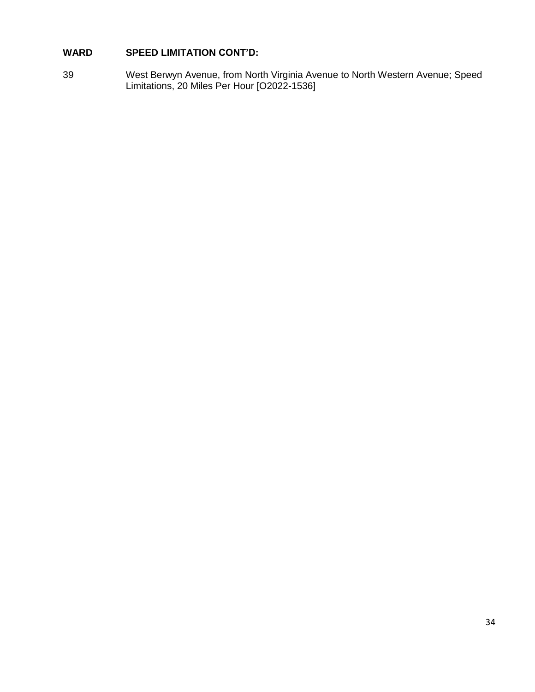# **WARD SPEED LIMITATION CONT'D:**

39 West Berwyn Avenue, from North Virginia Avenue to North Western Avenue; Speed Limitations, 20 Miles Per Hour [O2022-1536]